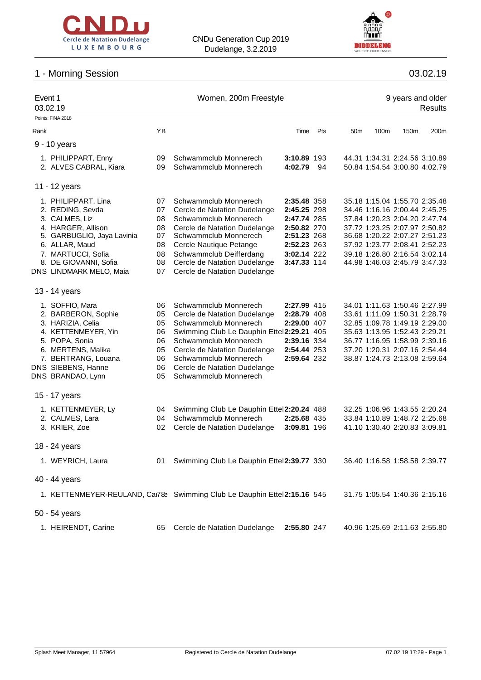



## 1 - Morning Session

| 03.02.19 |  |
|----------|--|
|          |  |

| Event 1<br>03.02.19 |                                                  |          | Women, 200m Freestyle                                                    | 9 years and older<br><b>Results</b> |     |                 |      |                                                                |      |
|---------------------|--------------------------------------------------|----------|--------------------------------------------------------------------------|-------------------------------------|-----|-----------------|------|----------------------------------------------------------------|------|
|                     | Points: FINA 2018                                |          |                                                                          |                                     |     |                 |      |                                                                |      |
| Rank                |                                                  | ΥB       |                                                                          | Time                                | Pts | 50 <sub>m</sub> | 100m | 150 <sub>m</sub>                                               | 200m |
|                     | 9 - 10 years                                     |          |                                                                          |                                     |     |                 |      |                                                                |      |
|                     | 1. PHILIPPART, Enny                              | 09       | Schwammclub Monnerech                                                    | 3:10.89 193                         |     |                 |      | 44.31 1:34.31 2:24.56 3:10.89                                  |      |
|                     | 2. ALVES CABRAL, Kiara                           | 09       | Schwammclub Monnerech                                                    | 4:02.79                             | 94  |                 |      | 50.84 1:54.54 3:00.80 4:02.79                                  |      |
|                     | 11 - 12 years                                    |          |                                                                          |                                     |     |                 |      |                                                                |      |
|                     |                                                  |          |                                                                          |                                     |     |                 |      |                                                                |      |
|                     | 1. PHILIPPART, Lina                              | 07       | Schwammclub Monnerech                                                    | 2:35.48 358                         |     |                 |      | 35.18 1:15.04 1:55.70 2:35.48                                  |      |
|                     | 2. REDING, Sevda                                 | 07       | Cercle de Natation Dudelange                                             | 2:45.25 298                         |     |                 |      | 34.46 1:16.16 2:00.44 2:45.25                                  |      |
|                     | 3. CALMES, Liz                                   | 08       | Schwammclub Monnerech                                                    | 2:47.74 285                         |     |                 |      | 37.84 1:20.23 2:04.20 2:47.74                                  |      |
|                     | 4. HARGER, Allison<br>5. GARBUGLIO, Jaya Lavinia | 08<br>07 | Cercle de Natation Dudelange<br>Schwammclub Monnerech                    | 2:50.82 270<br>2:51.23 268          |     |                 |      | 37.72 1:23.25 2:07.97 2:50.82<br>36.68 1:20.22 2:07.27 2:51.23 |      |
|                     | 6. ALLAR, Maud                                   |          |                                                                          | 2:52.23 263                         |     |                 |      | 37.92 1:23.77 2:08.41 2:52.23                                  |      |
|                     |                                                  | 08       | Cercle Nautique Petange                                                  |                                     |     |                 |      |                                                                |      |
|                     | 7. MARTUCCI, Sofia<br>8. DE GIOVANNI, Sofia      | 08<br>08 | Schwammclub Deifferdang<br>Cercle de Natation Dudelange                  | 3:02.14 222<br>3:47.33 114          |     |                 |      | 39.18 1:26.80 2:16.54 3:02.14<br>44.98 1:46.03 2:45.79 3:47.33 |      |
|                     | DNS LINDMARK MELO, Maia                          | 07       |                                                                          |                                     |     |                 |      |                                                                |      |
|                     |                                                  |          | Cercle de Natation Dudelange                                             |                                     |     |                 |      |                                                                |      |
|                     | 13 - 14 years                                    |          |                                                                          |                                     |     |                 |      |                                                                |      |
|                     | 1. SOFFIO, Mara                                  | 06       | Schwammclub Monnerech                                                    | 2:27.99 415                         |     |                 |      | 34.01 1:11.63 1:50.46 2:27.99                                  |      |
|                     | 2. BARBERON, Sophie                              | 05       | Cercle de Natation Dudelange                                             | 2:28.79 408                         |     |                 |      | 33.61 1:11.09 1:50.31 2:28.79                                  |      |
|                     | 3. HARIZIA, Celia                                | 05       | Schwammclub Monnerech                                                    | 2:29.00 407                         |     |                 |      | 32.85 1:09.78 1:49.19 2:29.00                                  |      |
|                     | 4. KETTENMEYER, Yin                              | 06       | Swimming Club Le Dauphin Ettel2:29.21 405                                |                                     |     |                 |      | 35.63 1:13.95 1:52.43 2:29.21                                  |      |
|                     | 5. POPA, Sonia                                   | 06       | Schwammclub Monnerech                                                    | 2:39.16 334                         |     |                 |      | 36.77 1:16.95 1:58.99 2:39.16                                  |      |
|                     | 6. MERTENS, Malika                               | 05       | Cercle de Natation Dudelange                                             | 2:54.44 253                         |     |                 |      | 37.20 1:20.31 2:07.16 2:54.44                                  |      |
|                     | 7. BERTRANG, Louana                              | 06       | Schwammclub Monnerech                                                    | 2:59.64 232                         |     |                 |      | 38.87 1:24.73 2:13.08 2:59.64                                  |      |
|                     | DNS SIEBENS, Hanne                               | 06       | Cercle de Natation Dudelange                                             |                                     |     |                 |      |                                                                |      |
|                     | DNS BRANDAO, Lynn                                | 05       | Schwammclub Monnerech                                                    |                                     |     |                 |      |                                                                |      |
|                     | 15 - 17 years                                    |          |                                                                          |                                     |     |                 |      |                                                                |      |
|                     | 1. KETTENMEYER, Ly                               | 04       | Swimming Club Le Dauphin Ettel2:20.24 488                                |                                     |     |                 |      | 32.25 1:06.96 1:43.55 2:20.24                                  |      |
|                     | 2. CALMES, Lara                                  | 04       | Schwammclub Monnerech                                                    | 2:25.68 435                         |     |                 |      | 33.84 1:10.89 1:48.72 2:25.68                                  |      |
|                     | 3. KRIER, Zoe                                    | 02       | Cercle de Natation Dudelange                                             | 3:09.81 196                         |     |                 |      | 41.10 1:30.40 2:20.83 3:09.81                                  |      |
|                     | 18 - 24 years                                    |          |                                                                          |                                     |     |                 |      |                                                                |      |
|                     | 1. WEYRICH, Laura                                | 01       | Swimming Club Le Dauphin Ettel2:39.77 330                                |                                     |     |                 |      | 36.40 1:16.58 1:58.58 2:39.77                                  |      |
|                     | 40 - 44 years                                    |          |                                                                          |                                     |     |                 |      |                                                                |      |
|                     |                                                  |          | 1. KETTENMEYER-REULAND, Car78> Swimming Club Le Dauphin Ettel2:15.16 545 |                                     |     |                 |      | 31.75 1:05.54 1:40.36 2:15.16                                  |      |
|                     |                                                  |          |                                                                          |                                     |     |                 |      |                                                                |      |
|                     | 50 - 54 years                                    |          |                                                                          |                                     |     |                 |      |                                                                |      |
|                     | 1. HEIRENDT, Carine                              | 65       | Cercle de Natation Dudelange                                             | 2:55.80 247                         |     |                 |      | 40.96 1:25.69 2:11.63 2:55.80                                  |      |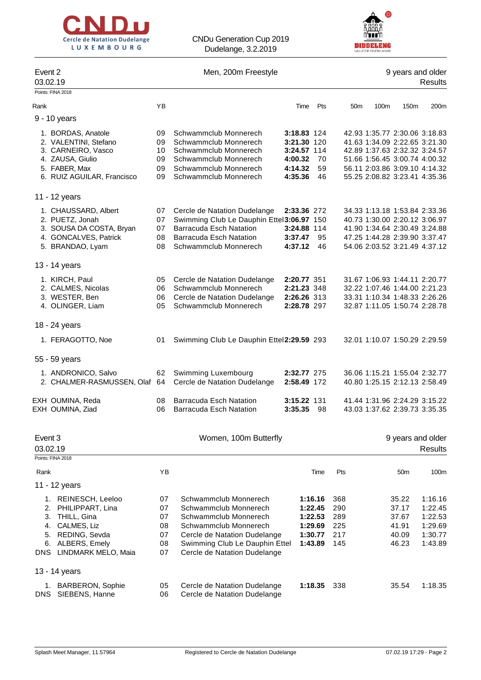



| Event 2<br>03.02.19 |                                                                                                                                             |                                        | Men, 200m Freestyle                                                                                                                                                                                |                               |                                                                |                                        |                                                                                                                                                                   | 9 years and older                                  | <b>Results</b>                                                 |
|---------------------|---------------------------------------------------------------------------------------------------------------------------------------------|----------------------------------------|----------------------------------------------------------------------------------------------------------------------------------------------------------------------------------------------------|-------------------------------|----------------------------------------------------------------|----------------------------------------|-------------------------------------------------------------------------------------------------------------------------------------------------------------------|----------------------------------------------------|----------------------------------------------------------------|
|                     | Points: FINA 2018                                                                                                                           |                                        |                                                                                                                                                                                                    |                               |                                                                |                                        |                                                                                                                                                                   |                                                    |                                                                |
| Rank                |                                                                                                                                             | YB                                     |                                                                                                                                                                                                    | Time                          | Pts                                                            | 50m                                    | 100m                                                                                                                                                              | 150 <sub>m</sub>                                   | 200m                                                           |
|                     | 9 - 10 years                                                                                                                                |                                        |                                                                                                                                                                                                    |                               |                                                                |                                        |                                                                                                                                                                   |                                                    |                                                                |
|                     | 1. BORDAS, Anatole<br>2. VALENTINI, Stefano<br>3. CARNEIRO, Vasco<br>4. ZAUSA, Giulio<br>5. FABER, Max                                      | 09<br>09<br>10<br>09<br>09<br>09       | Schwammclub Monnerech<br>Schwammclub Monnerech<br>Schwammclub Monnerech<br>Schwammclub Monnerech<br>Schwammclub Monnerech<br>Schwammclub Monnerech                                                 | 4:00.32<br>4:14.32<br>4:35.36 | 3:18.83 124<br>3:21.30 120<br>3:24.57 114<br>- 70<br>59<br>46  |                                        | 42.93 1:35.77 2:30.06 3:18.83<br>41.63 1:34.09 2:22.65 3:21.30<br>42.89 1:37.63 2:32.32 3:24.57<br>51.66 1:56.45 3:00.74 4:00.32<br>56.11 2:03.86 3:09.10 4:14.32 |                                                    |                                                                |
|                     | 6. RUIZ AGUILAR, Francisco                                                                                                                  |                                        |                                                                                                                                                                                                    |                               |                                                                |                                        | 55.25 2:08.82 3:23.41 4:35.36                                                                                                                                     |                                                    |                                                                |
|                     | 11 - 12 years                                                                                                                               |                                        |                                                                                                                                                                                                    |                               |                                                                |                                        |                                                                                                                                                                   |                                                    |                                                                |
|                     | 1. CHAUSSARD, Albert<br>2. PUETZ, Jonah<br>3. SOUSA DA COSTA, Bryan<br>4. GONCALVES, Patrick<br>5. BRANDAO, Lyam                            | 07<br>07<br>07<br>08<br>08             | Cercle de Natation Dudelange<br>Swimming Club Le Dauphin Ettel3:06.97 150<br><b>Barracuda Esch Natation</b><br><b>Barracuda Esch Natation</b><br>Schwammclub Monnerech                             | 3:37.47<br>4:37.12            | 2:33.36 272<br>3:24.88 114<br>95<br>46                         |                                        | 34.33 1:13.18 1:53.84 2:33.36<br>40.73 1:30.00 2:20.12 3:06.97<br>41.90 1:34.64 2:30.49 3:24.88<br>47.25 1:44.28 2:39.90 3:37.47<br>54.06 2:03.52 3:21.49 4:37.12 |                                                    |                                                                |
|                     | 13 - 14 years                                                                                                                               |                                        |                                                                                                                                                                                                    |                               |                                                                |                                        |                                                                                                                                                                   |                                                    |                                                                |
|                     | 1. KIRCH, Paul<br>2. CALMES, Nicolas<br>3. WESTER, Ben<br>4. OLINGER, Liam                                                                  | 05<br>06<br>06<br>05                   | Cercle de Natation Dudelange<br>Schwammclub Monnerech<br>Cercle de Natation Dudelange<br>Schwammclub Monnerech                                                                                     |                               | 2:20.77 351<br>2:21.23 348<br>2:26.26 313<br>2:28.78 297       |                                        | 31.67 1:06.93 1:44.11 2:20.77<br>32.22 1:07.46 1:44.00 2:21.23<br>33.31 1:10.34 1:48.33 2:26.26<br>32.87 1:11.05 1:50.74 2:28.78                                  |                                                    |                                                                |
|                     | 18 - 24 years                                                                                                                               |                                        |                                                                                                                                                                                                    |                               |                                                                |                                        |                                                                                                                                                                   |                                                    |                                                                |
|                     | 1. FERAGOTTO, Noe                                                                                                                           | 01                                     | Swimming Club Le Dauphin Ettel2:29.59 293                                                                                                                                                          |                               |                                                                |                                        | 32.01 1:10.07 1:50.29 2:29.59                                                                                                                                     |                                                    |                                                                |
|                     | 55 - 59 years                                                                                                                               |                                        |                                                                                                                                                                                                    |                               |                                                                |                                        |                                                                                                                                                                   |                                                    |                                                                |
|                     | 1. ANDRONICO, Salvo<br>2. CHALMER-RASMUSSEN, Olaf 64                                                                                        | 62                                     | Swimming Luxembourg<br>Cercle de Natation Dudelange                                                                                                                                                |                               | 2:32.77 275<br>2:58.49 172                                     |                                        | 36.06 1:15.21 1:55.04 2:32.77<br>40.80 1:25.15 2:12.13 2:58.49                                                                                                    |                                                    |                                                                |
|                     | EXH OUMINA, Reda<br>EXH OUMINA, Ziad                                                                                                        | 08<br>06                               | <b>Barracuda Esch Natation</b><br><b>Barracuda Esch Natation</b>                                                                                                                                   | 3:35.35                       | 3:15.22 131<br>98                                              |                                        | 41.44 1:31.96 2:24.29 3:15.22<br>43.03 1:37.62 2:39.73 3:35.35                                                                                                    |                                                    |                                                                |
| Event 3<br>03.02.19 |                                                                                                                                             |                                        | Women, 100m Butterfly                                                                                                                                                                              |                               |                                                                |                                        |                                                                                                                                                                   | 9 years and older                                  | <b>Results</b>                                                 |
|                     | Points: FINA 2018                                                                                                                           |                                        |                                                                                                                                                                                                    |                               |                                                                |                                        |                                                                                                                                                                   |                                                    |                                                                |
| Rank                | 11 - 12 years                                                                                                                               | ΥB                                     |                                                                                                                                                                                                    |                               | Time                                                           | Pts                                    |                                                                                                                                                                   | 50 <sub>m</sub>                                    | 100m                                                           |
| 4.<br>5.            | 1. REINESCH, Leeloo<br>2. PHILIPPART, Lina<br>3. THILL, Gina<br>CALMES, Liz<br>REDING, Sevda<br>6. ALBERS, Emely<br>DNS LINDMARK MELO, Maia | 07<br>07<br>07<br>08<br>07<br>08<br>07 | Schwammclub Monnerech<br>Schwammclub Monnerech<br>Schwammclub Monnerech<br>Schwammclub Monnerech<br>Cercle de Natation Dudelange<br>Swimming Club Le Dauphin Ettel<br>Cercle de Natation Dudelange |                               | 1:16.16<br>1:22.45<br>1:22.53<br>1:29.69<br>1:30.77<br>1:43.89 | 368<br>290<br>289<br>225<br>217<br>145 |                                                                                                                                                                   | 35.22<br>37.17<br>37.67<br>41.91<br>40.09<br>46.23 | 1:16.16<br>1:22.45<br>1:22.53<br>1:29.69<br>1:30.77<br>1:43.89 |
|                     | 13 - 14 years                                                                                                                               |                                        |                                                                                                                                                                                                    |                               |                                                                |                                        |                                                                                                                                                                   |                                                    |                                                                |
|                     | 1. BARBERON, Sophie<br>DNS SIEBENS, Hanne                                                                                                   | 05<br>06                               | Cercle de Natation Dudelange<br>Cercle de Natation Dudelange                                                                                                                                       |                               | 1:18.35                                                        | 338                                    |                                                                                                                                                                   | 35.54                                              | 1:18.35                                                        |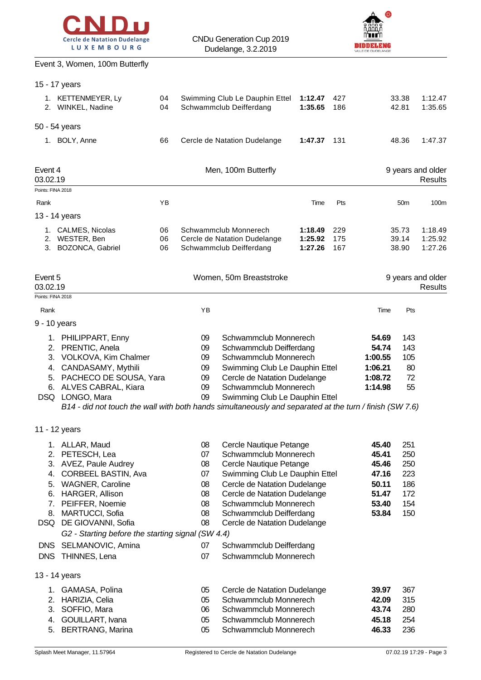



#### Event 3, Women, 100m Butterfly

|                                          | 15 - 17 years                                                                                                                                                                                                                                                                  |                |                                              |                                                                                                                                                                                                                                   |                               |                   |                                                                      |                                                      |                               |
|------------------------------------------|--------------------------------------------------------------------------------------------------------------------------------------------------------------------------------------------------------------------------------------------------------------------------------|----------------|----------------------------------------------|-----------------------------------------------------------------------------------------------------------------------------------------------------------------------------------------------------------------------------------|-------------------------------|-------------------|----------------------------------------------------------------------|------------------------------------------------------|-------------------------------|
|                                          | 1. KETTENMEYER, Ly<br>2. WINKEL, Nadine                                                                                                                                                                                                                                        | 04<br>04       |                                              | Swimming Club Le Dauphin Ettel<br>Schwammclub Deifferdang                                                                                                                                                                         | 1:12.47<br>1:35.65            | 427<br>186        |                                                                      | 33.38<br>42.81                                       | 1:12.47<br>1:35.65            |
|                                          | 50 - 54 years                                                                                                                                                                                                                                                                  |                |                                              |                                                                                                                                                                                                                                   |                               |                   |                                                                      |                                                      |                               |
|                                          | 1. BOLY, Anne                                                                                                                                                                                                                                                                  | 66             |                                              | Cercle de Natation Dudelange                                                                                                                                                                                                      | 1:47.37                       | 131               |                                                                      | 48.36                                                | 1:47.37                       |
| Event 4<br>03.02.19                      |                                                                                                                                                                                                                                                                                |                |                                              | Men, 100m Butterfly                                                                                                                                                                                                               |                               |                   |                                                                      |                                                      | 9 years and older<br>Results  |
| Points: FINA 2018                        |                                                                                                                                                                                                                                                                                |                |                                              |                                                                                                                                                                                                                                   |                               |                   |                                                                      |                                                      |                               |
| Rank                                     |                                                                                                                                                                                                                                                                                | YB             |                                              |                                                                                                                                                                                                                                   | Time                          | Pts               |                                                                      | 50 <sub>m</sub>                                      | 100m                          |
|                                          | 13 - 14 years                                                                                                                                                                                                                                                                  |                |                                              |                                                                                                                                                                                                                                   |                               |                   |                                                                      |                                                      |                               |
|                                          | 1. CALMES, Nicolas<br>2. WESTER, Ben<br>3. BOZONCA, Gabriel                                                                                                                                                                                                                    | 06<br>06<br>06 |                                              | Schwammclub Monnerech<br>Cercle de Natation Dudelange<br>Schwammclub Deifferdang                                                                                                                                                  | 1:18.49<br>1:25.92<br>1:27.26 | 229<br>175<br>167 |                                                                      | 35.73<br>39.14<br>38.90                              | 1:18.49<br>1:25.92<br>1:27.26 |
| Event 5<br>03.02.19<br>Points: FINA 2018 |                                                                                                                                                                                                                                                                                |                |                                              | Women, 50m Breaststroke                                                                                                                                                                                                           |                               |                   |                                                                      |                                                      | 9 years and older<br>Results  |
| Rank                                     |                                                                                                                                                                                                                                                                                |                | YB                                           |                                                                                                                                                                                                                                   |                               |                   | Time                                                                 | Pts                                                  |                               |
| 9 - 10 years                             |                                                                                                                                                                                                                                                                                |                |                                              |                                                                                                                                                                                                                                   |                               |                   |                                                                      |                                                      |                               |
| 4.                                       | 1. PHILIPPART, Enny<br>2. PRENTIC, Anela<br>3. VOLKOVA, Kim Chalmer<br>CANDASAMY, Mythili<br>5. PACHECO DE SOUSA, Yara<br>6. ALVES CABRAL, Kiara<br>DSQ LONGO, Mara<br>B14 - did not touch the wall with both hands simultaneously and separated at the turn / finish (SW 7.6) |                | 09<br>09<br>09<br>09<br>09<br>09<br>09       | Schwammclub Monnerech<br>Schwammclub Deifferdang<br>Schwammclub Monnerech<br>Swimming Club Le Dauphin Ettel<br>Cercle de Natation Dudelange<br>Schwammclub Monnerech<br>Swimming Club Le Dauphin Ettel                            |                               |                   | 54.69<br>54.74<br>1:00.55<br>1:06.21<br>1:08.72<br>1:14.98           | 143<br>143<br>105<br>80<br>72<br>55                  |                               |
|                                          | 11 - 12 years                                                                                                                                                                                                                                                                  |                |                                              |                                                                                                                                                                                                                                   |                               |                   |                                                                      |                                                      |                               |
| 4.<br>5.<br>6.<br>7.<br>8.               | 1. ALLAR, Maud<br>2. PETESCH, Lea<br>3. AVEZ, Paule Audrey<br>CORBEEL BASTIN, Ava<br><b>WAGNER, Caroline</b><br>HARGER, Allison<br>PEIFFER, Noemie<br><b>MARTUCCI, Sofia</b>                                                                                                   |                | 08<br>07<br>08<br>07<br>08<br>08<br>08<br>08 | Cercle Nautique Petange<br>Schwammclub Monnerech<br>Cercle Nautique Petange<br>Swimming Club Le Dauphin Ettel<br>Cercle de Natation Dudelange<br>Cercle de Natation Dudelange<br>Schwammclub Monnerech<br>Schwammclub Deifferdang |                               |                   | 45.40<br>45.41<br>45.46<br>47.16<br>50.11<br>51.47<br>53.40<br>53.84 | 251<br>250<br>250<br>223<br>186<br>172<br>154<br>150 |                               |
|                                          | DSQ DE GIOVANNI, Sofia                                                                                                                                                                                                                                                         |                | 08                                           | Cercle de Natation Dudelange                                                                                                                                                                                                      |                               |                   |                                                                      |                                                      |                               |
|                                          | G2 - Starting before the starting signal (SW 4.4)                                                                                                                                                                                                                              |                |                                              |                                                                                                                                                                                                                                   |                               |                   |                                                                      |                                                      |                               |
| <b>DNS</b>                               | SELMANOVIC, Amina<br>DNS THINNES, Lena                                                                                                                                                                                                                                         |                | 07<br>07                                     | Schwammclub Deifferdang<br>Schwammclub Monnerech                                                                                                                                                                                  |                               |                   |                                                                      |                                                      |                               |
|                                          | 13 - 14 years                                                                                                                                                                                                                                                                  |                |                                              |                                                                                                                                                                                                                                   |                               |                   |                                                                      |                                                      |                               |
| 3.<br>4.<br>5.                           | 1. GAMASA, Polina<br>2. HARIZIA, Celia<br>SOFFIO, Mara<br>GOUILLART, Ivana<br><b>BERTRANG, Marina</b>                                                                                                                                                                          |                | 05<br>05<br>06<br>05<br>05                   | Cercle de Natation Dudelange<br>Schwammclub Monnerech<br>Schwammclub Monnerech<br>Schwammclub Monnerech<br>Schwammclub Monnerech                                                                                                  |                               |                   | 39.97<br>42.09<br>43.74<br>45.18<br>46.33                            | 367<br>315<br>280<br>254<br>236                      |                               |
|                                          |                                                                                                                                                                                                                                                                                |                |                                              |                                                                                                                                                                                                                                   |                               |                   |                                                                      |                                                      |                               |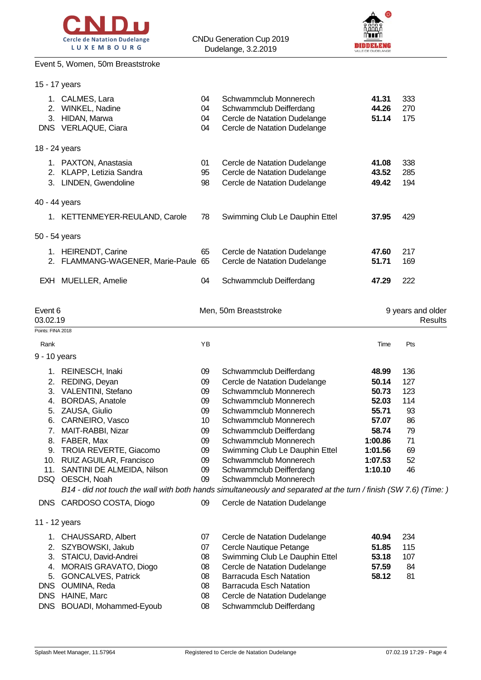



# Event 5, Women, 50m Breaststroke

| 15 - 17 years                                      |                                                                                                                                                                                                                                                                                                                                                                                                                                      |                                                                            |                                                                                                                                                                                                                                                                                                                                                                |                                                                                                         |                                                                    |                                     |
|----------------------------------------------------|--------------------------------------------------------------------------------------------------------------------------------------------------------------------------------------------------------------------------------------------------------------------------------------------------------------------------------------------------------------------------------------------------------------------------------------|----------------------------------------------------------------------------|----------------------------------------------------------------------------------------------------------------------------------------------------------------------------------------------------------------------------------------------------------------------------------------------------------------------------------------------------------------|---------------------------------------------------------------------------------------------------------|--------------------------------------------------------------------|-------------------------------------|
|                                                    | 1. CALMES, Lara<br>2. WINKEL, Nadine<br>3. HIDAN, Marwa<br>DNS VERLAQUE, Ciara                                                                                                                                                                                                                                                                                                                                                       | 04<br>04<br>04<br>04                                                       | Schwammclub Monnerech<br>Schwammclub Deifferdang<br>Cercle de Natation Dudelange<br>Cercle de Natation Dudelange                                                                                                                                                                                                                                               | 41.31<br>44.26<br>51.14                                                                                 | 333<br>270<br>175                                                  |                                     |
| 18 - 24 years                                      |                                                                                                                                                                                                                                                                                                                                                                                                                                      |                                                                            |                                                                                                                                                                                                                                                                                                                                                                |                                                                                                         |                                                                    |                                     |
|                                                    | 1. PAXTON, Anastasia<br>2. KLAPP, Letizia Sandra<br>3. LINDEN, Gwendoline                                                                                                                                                                                                                                                                                                                                                            | 01<br>95<br>98                                                             | Cercle de Natation Dudelange<br>Cercle de Natation Dudelange<br>Cercle de Natation Dudelange                                                                                                                                                                                                                                                                   | 41.08<br>43.52<br>49.42                                                                                 | 338<br>285<br>194                                                  |                                     |
| 40 - 44 years                                      |                                                                                                                                                                                                                                                                                                                                                                                                                                      |                                                                            |                                                                                                                                                                                                                                                                                                                                                                |                                                                                                         |                                                                    |                                     |
|                                                    | 1. KETTENMEYER-REULAND, Carole                                                                                                                                                                                                                                                                                                                                                                                                       | 78                                                                         | Swimming Club Le Dauphin Ettel                                                                                                                                                                                                                                                                                                                                 | 37.95                                                                                                   | 429                                                                |                                     |
| 50 - 54 years                                      |                                                                                                                                                                                                                                                                                                                                                                                                                                      |                                                                            |                                                                                                                                                                                                                                                                                                                                                                |                                                                                                         |                                                                    |                                     |
|                                                    | 1. HEIRENDT, Carine<br>2. FLAMMANG-WAGENER, Marie-Paule 65                                                                                                                                                                                                                                                                                                                                                                           | 65                                                                         | Cercle de Natation Dudelange<br>Cercle de Natation Dudelange                                                                                                                                                                                                                                                                                                   | 47.60<br>51.71                                                                                          | 217<br>169                                                         |                                     |
|                                                    | EXH MUELLER, Amelie                                                                                                                                                                                                                                                                                                                                                                                                                  | 04                                                                         | Schwammclub Deifferdang                                                                                                                                                                                                                                                                                                                                        | 47.29                                                                                                   | 222                                                                |                                     |
| Event 6<br>03.02.19<br>Points: FINA 2018           |                                                                                                                                                                                                                                                                                                                                                                                                                                      |                                                                            | Men, 50m Breaststroke                                                                                                                                                                                                                                                                                                                                          |                                                                                                         |                                                                    | 9 years and older<br><b>Results</b> |
| Rank                                               |                                                                                                                                                                                                                                                                                                                                                                                                                                      | YB                                                                         |                                                                                                                                                                                                                                                                                                                                                                | Time                                                                                                    | Pts                                                                |                                     |
| 9 - 10 years                                       |                                                                                                                                                                                                                                                                                                                                                                                                                                      |                                                                            |                                                                                                                                                                                                                                                                                                                                                                |                                                                                                         |                                                                    |                                     |
| 2.                                                 | 1. REINESCH, Inaki<br>REDING, Deyan<br>3. VALENTINI, Stefano<br>4. BORDAS, Anatole<br>5. ZAUSA, Giulio<br>6. CARNEIRO, Vasco<br>7. MAIT-RABBI, Nizar<br>8. FABER, Max<br>9. TROIA REVERTE, Giacomo<br>10. RUIZ AGUILAR, Francisco<br>11. SANTINI DE ALMEIDA, Nilson<br>DSQ OESCH, Noah<br>B14 - did not touch the wall with both hands simultaneously and separated at the turn / finish (SW 7.6) (Time:<br>DNS CARDOSO COSTA, Diogo | 09<br>09<br>09<br>09<br>09<br>10<br>09<br>09<br>09<br>09<br>09<br>09<br>09 | Schwammclub Deifferdang<br>Cercle de Natation Dudelange<br>Schwammclub Monnerech<br>Schwammclub Monnerech<br>Schwammclub Monnerech<br>Schwammclub Monnerech<br>Schwammclub Deifferdang<br>Schwammclub Monnerech<br>Swimming Club Le Dauphin Ettel<br>Schwammclub Monnerech<br>Schwammclub Deifferdang<br>Schwammclub Monnerech<br>Cercle de Natation Dudelange | 48.99<br>50.14<br>50.73<br>52.03<br>55.71<br>57.07<br>58.74<br>1:00.86<br>1:01.56<br>1:07.53<br>1:10.10 | 136<br>127<br>123<br>114<br>93<br>86<br>79<br>71<br>69<br>52<br>46 |                                     |
| 11 - 12 years                                      |                                                                                                                                                                                                                                                                                                                                                                                                                                      |                                                                            |                                                                                                                                                                                                                                                                                                                                                                |                                                                                                         |                                                                    |                                     |
| 4.<br>5.<br><b>DNS</b><br><b>DNS</b><br><b>DNS</b> | 1. CHAUSSARD, Albert<br>2. SZYBOWSKI, Jakub<br>3. STAICU, David-Andrei<br>MORAIS GRAVATO, Diogo<br><b>GONCALVES, Patrick</b><br>OUMINA, Reda<br>HAINE, Marc<br>BOUADI, Mohammed-Eyoub                                                                                                                                                                                                                                                | 07<br>07<br>08<br>08<br>08<br>08<br>08<br>08                               | Cercle de Natation Dudelange<br>Cercle Nautique Petange<br>Swimming Club Le Dauphin Ettel<br>Cercle de Natation Dudelange<br><b>Barracuda Esch Natation</b><br><b>Barracuda Esch Natation</b><br>Cercle de Natation Dudelange<br>Schwammclub Deifferdang                                                                                                       | 40.94<br>51.85<br>53.18<br>57.59<br>58.12                                                               | 234<br>115<br>107<br>84<br>81                                      |                                     |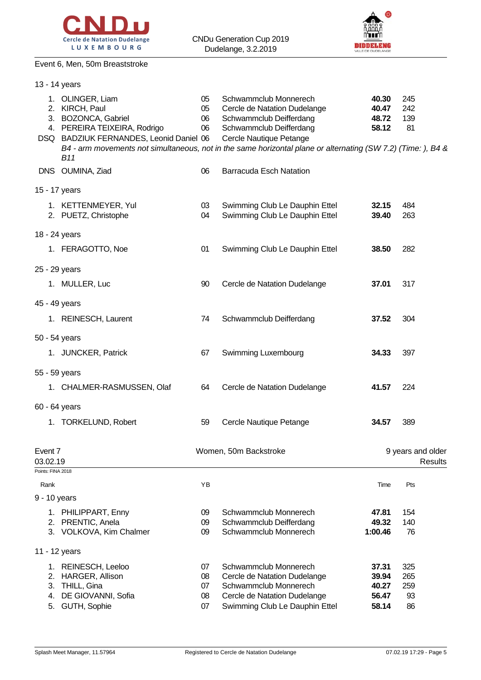



#### Event 6, Men, 50m Breaststroke

| 13 - 14 years                            |                                                                                                                                                    |                      |                                                                                                                                                                                                                                                        |                                  |                                     |
|------------------------------------------|----------------------------------------------------------------------------------------------------------------------------------------------------|----------------------|--------------------------------------------------------------------------------------------------------------------------------------------------------------------------------------------------------------------------------------------------------|----------------------------------|-------------------------------------|
|                                          | 1. OLINGER, Liam<br>2. KIRCH, Paul<br>3. BOZONCA, Gabriel<br>4. PEREIRA TEIXEIRA, Rodrigo<br>DSQ BADZIUK FERNANDES, Leonid Daniel 06<br><b>B11</b> | 05<br>05<br>06<br>06 | Schwammclub Monnerech<br>Cercle de Natation Dudelange<br>Schwammclub Deifferdang<br>Schwammclub Deifferdang<br>Cercle Nautique Petange<br>B4 - arm movements not simultaneous, not in the same horizontal plane or alternating (SW 7.2) (Time: ), B4 & | 40.30<br>40.47<br>48.72<br>58.12 | 245<br>242<br>139<br>81             |
|                                          | DNS OUMINA, Ziad                                                                                                                                   | 06                   | <b>Barracuda Esch Natation</b>                                                                                                                                                                                                                         |                                  |                                     |
| 15 - 17 years                            |                                                                                                                                                    |                      |                                                                                                                                                                                                                                                        |                                  |                                     |
|                                          | 1. KETTENMEYER, Yul<br>2. PUETZ, Christophe                                                                                                        | 03<br>04             | Swimming Club Le Dauphin Ettel<br>Swimming Club Le Dauphin Ettel                                                                                                                                                                                       | 32.15<br>39.40                   | 484<br>263                          |
| 18 - 24 years                            |                                                                                                                                                    |                      |                                                                                                                                                                                                                                                        |                                  |                                     |
|                                          | 1. FERAGOTTO, Noe                                                                                                                                  | 01                   | Swimming Club Le Dauphin Ettel                                                                                                                                                                                                                         | 38.50                            | 282                                 |
| 25 - 29 years                            |                                                                                                                                                    |                      |                                                                                                                                                                                                                                                        |                                  |                                     |
|                                          | 1. MULLER, Luc                                                                                                                                     | 90                   | Cercle de Natation Dudelange                                                                                                                                                                                                                           | 37.01                            | 317                                 |
| 45 - 49 years                            |                                                                                                                                                    |                      |                                                                                                                                                                                                                                                        |                                  |                                     |
|                                          | 1. REINESCH, Laurent                                                                                                                               | 74                   | Schwammclub Deifferdang                                                                                                                                                                                                                                | 37.52                            | 304                                 |
| 50 - 54 years                            |                                                                                                                                                    |                      |                                                                                                                                                                                                                                                        |                                  |                                     |
|                                          | 1. JUNCKER, Patrick                                                                                                                                | 67                   | Swimming Luxembourg                                                                                                                                                                                                                                    | 34.33                            | 397                                 |
| 55 - 59 years                            |                                                                                                                                                    |                      |                                                                                                                                                                                                                                                        |                                  |                                     |
|                                          | 1. CHALMER-RASMUSSEN, Olaf                                                                                                                         | 64                   | Cercle de Natation Dudelange                                                                                                                                                                                                                           | 41.57                            | 224                                 |
| 60 - 64 years                            |                                                                                                                                                    |                      |                                                                                                                                                                                                                                                        |                                  |                                     |
|                                          | 1. TORKELUND, Robert                                                                                                                               | 59                   | Cercle Nautique Petange                                                                                                                                                                                                                                | 34.57                            | 389                                 |
| Event 7<br>03.02.19<br>Points: FINA 2018 |                                                                                                                                                    |                      | Women, 50m Backstroke                                                                                                                                                                                                                                  |                                  | 9 years and older<br><b>Results</b> |
| Rank                                     |                                                                                                                                                    | YB                   |                                                                                                                                                                                                                                                        | Time                             | Pts                                 |
| 9 - 10 years                             |                                                                                                                                                    |                      |                                                                                                                                                                                                                                                        |                                  |                                     |
|                                          | 1. PHILIPPART, Enny                                                                                                                                | 09                   | Schwammclub Monnerech                                                                                                                                                                                                                                  | 47.81                            | 154                                 |
|                                          | 2. PRENTIC, Anela                                                                                                                                  | 09                   | Schwammclub Deifferdang                                                                                                                                                                                                                                | 49.32                            | 140                                 |
|                                          | 3. VOLKOVA, Kim Chalmer                                                                                                                            | 09                   | Schwammclub Monnerech                                                                                                                                                                                                                                  | 1:00.46                          | 76                                  |
| 11 - 12 years                            |                                                                                                                                                    |                      |                                                                                                                                                                                                                                                        |                                  |                                     |
|                                          | 1. REINESCH, Leeloo                                                                                                                                | 07                   | Schwammclub Monnerech                                                                                                                                                                                                                                  | 37.31                            | 325                                 |
| 2.<br>3.                                 | HARGER, Allison<br>THILL, Gina                                                                                                                     | 08<br>07             | Cercle de Natation Dudelange<br>Schwammclub Monnerech                                                                                                                                                                                                  | 39.94<br>40.27                   | 265<br>259                          |
| 4.                                       | DE GIOVANNI, Sofia                                                                                                                                 | 08                   | Cercle de Natation Dudelange                                                                                                                                                                                                                           | 56.47                            | 93                                  |
| 5.                                       | GUTH, Sophie                                                                                                                                       | 07                   | Swimming Club Le Dauphin Ettel                                                                                                                                                                                                                         | 58.14                            | 86                                  |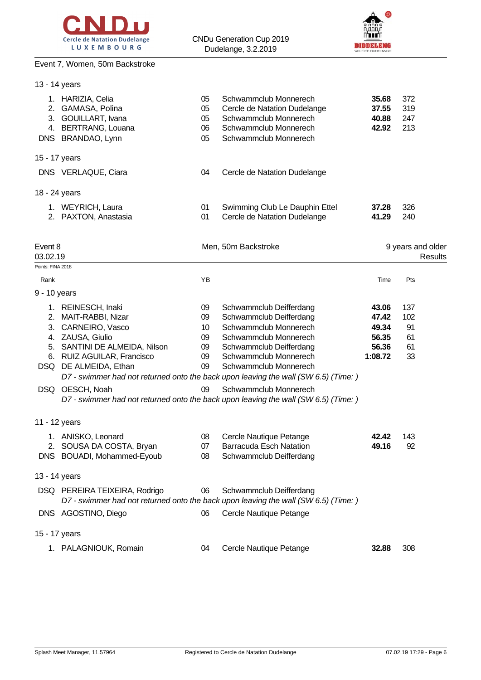

#### Event 7, Women, 50m Backstroke

13 - 14 years



| 2.                  | 1. HARIZIA, Celia<br>GAMASA, Polina<br>3. GOUILLART, Ivana<br>4. BERTRANG, Louana | 05<br>05<br>05<br>06 | Schwammclub Monnerech<br>Cercle de Natation Dudelange<br>Schwammclub Monnerech<br>Schwammclub Monnerech        | 35.68<br>37.55<br>40.88<br>42.92 | 372<br>319<br>247<br>213 |                              |
|---------------------|-----------------------------------------------------------------------------------|----------------------|----------------------------------------------------------------------------------------------------------------|----------------------------------|--------------------------|------------------------------|
|                     | DNS BRANDAO, Lynn                                                                 | 05                   | Schwammclub Monnerech                                                                                          |                                  |                          |                              |
|                     | 15 - 17 years                                                                     |                      |                                                                                                                |                                  |                          |                              |
|                     | DNS VERLAQUE, Ciara                                                               | 04                   | Cercle de Natation Dudelange                                                                                   |                                  |                          |                              |
|                     | 18 - 24 years                                                                     |                      |                                                                                                                |                                  |                          |                              |
|                     | 1. WEYRICH, Laura                                                                 | 01                   | Swimming Club Le Dauphin Ettel                                                                                 | 37.28                            | 326                      |                              |
|                     | 2. PAXTON, Anastasia                                                              | 01                   | Cercle de Natation Dudelange                                                                                   | 41.29                            | 240                      |                              |
| Event 8<br>03.02.19 |                                                                                   |                      | Men, 50m Backstroke                                                                                            |                                  |                          | 9 years and older<br>Results |
| Points: FINA 2018   |                                                                                   |                      |                                                                                                                |                                  |                          |                              |
| Rank                |                                                                                   | YB                   |                                                                                                                | Time                             | Pts                      |                              |
| 9 - 10 years        |                                                                                   |                      |                                                                                                                |                                  |                          |                              |
|                     | 1. REINESCH, Inaki                                                                | 09                   | Schwammclub Deifferdang                                                                                        | 43.06                            | 137                      |                              |
| 2.                  | MAIT-RABBI, Nizar                                                                 | 09                   | Schwammclub Deifferdang                                                                                        | 47.42                            | 102                      |                              |
|                     | 3. CARNEIRO, Vasco                                                                | 10                   | Schwammclub Monnerech                                                                                          | 49.34                            | 91                       |                              |
|                     | 4. ZAUSA, Giulio                                                                  | 09                   | Schwammclub Monnerech                                                                                          | 56.35                            | 61                       |                              |
|                     | 5. SANTINI DE ALMEIDA, Nilson                                                     | 09                   | Schwammclub Deifferdang                                                                                        | 56.36                            | 61                       |                              |
|                     | 6. RUIZ AGUILAR, Francisco<br>DSQ DE ALMEIDA, Ethan                               | 09<br>09             | Schwammclub Monnerech<br>Schwammclub Monnerech                                                                 | 1:08.72                          | 33                       |                              |
|                     |                                                                                   |                      | D7 - swimmer had not returned onto the back upon leaving the wall (SW 6.5) (Time: )                            |                                  |                          |                              |
|                     |                                                                                   |                      |                                                                                                                |                                  |                          |                              |
|                     | DSQ OESCH, Noah                                                                   | 09                   | Schwammclub Monnerech<br>D7 - swimmer had not returned onto the back upon leaving the wall (SW 6.5) (Time: )   |                                  |                          |                              |
|                     | 11 - 12 years                                                                     |                      |                                                                                                                |                                  |                          |                              |
|                     | 1. ANISKO, Leonard                                                                | 08                   | Cercle Nautique Petange                                                                                        | 42.42                            | 143                      |                              |
|                     | 2. SOUSA DA COSTA, Bryan                                                          | 07                   | <b>Barracuda Esch Natation</b>                                                                                 | 49.16                            | 92                       |                              |
|                     | DNS BOUADI, Mohammed-Eyoub                                                        | 08                   | Schwammclub Deifferdang                                                                                        |                                  |                          |                              |
|                     | 13 - 14 years                                                                     |                      |                                                                                                                |                                  |                          |                              |
|                     | DSQ PEREIRA TEIXEIRA, Rodrigo                                                     | 06                   | Schwammclub Deifferdang<br>D7 - swimmer had not returned onto the back upon leaving the wall (SW 6.5) (Time: ) |                                  |                          |                              |
|                     | DNS AGOSTINO, Diego                                                               | 06                   | Cercle Nautique Petange                                                                                        |                                  |                          |                              |
|                     | 15 - 17 years                                                                     |                      |                                                                                                                |                                  |                          |                              |
|                     | 1. PALAGNIOUK, Romain                                                             | 04                   | Cercle Nautique Petange                                                                                        | 32.88                            | 308                      |                              |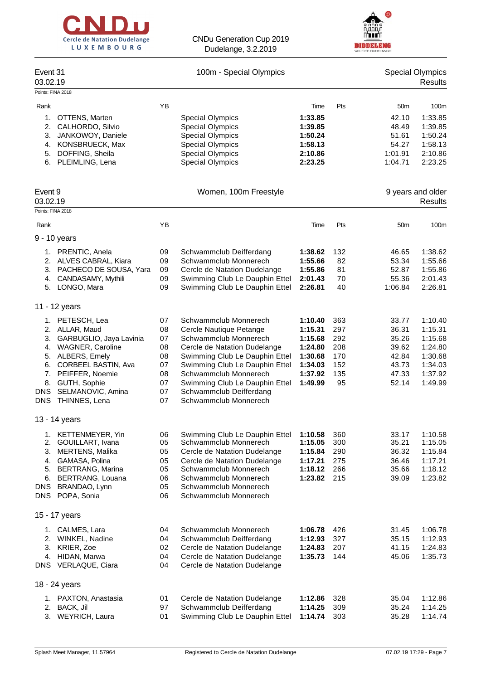



| Event 31<br>03.02.19                                                                                                                                                                                                                                 |                                                          | 100m - Special Olympics                                                                                                                                                                                                                                                                      |                                                                                      |                                                     |                                                                      | <b>Special Olympics</b><br>Results                                                   |
|------------------------------------------------------------------------------------------------------------------------------------------------------------------------------------------------------------------------------------------------------|----------------------------------------------------------|----------------------------------------------------------------------------------------------------------------------------------------------------------------------------------------------------------------------------------------------------------------------------------------------|--------------------------------------------------------------------------------------|-----------------------------------------------------|----------------------------------------------------------------------|--------------------------------------------------------------------------------------|
| Points: FINA 2018                                                                                                                                                                                                                                    |                                                          |                                                                                                                                                                                                                                                                                              |                                                                                      |                                                     |                                                                      |                                                                                      |
| Rank<br>OTTENS, Marten<br>1.<br>2.<br>CALHORDO, Silvio<br>JANKOWOY, Daniele<br>3.<br>KONSBRUECK, Max<br>4.<br>DOFFING, Sheila<br>5.                                                                                                                  | YB                                                       | <b>Special Olympics</b><br><b>Special Olympics</b><br><b>Special Olympics</b><br><b>Special Olympics</b><br><b>Special Olympics</b>                                                                                                                                                          | Time<br>1:33.85<br>1:39.85<br>1:50.24<br>1:58.13<br>2:10.86                          | Pts                                                 | 50 <sub>m</sub><br>42.10<br>48.49<br>51.61<br>54.27<br>1:01.91       | 100 <sub>m</sub><br>1:33.85<br>1:39.85<br>1:50.24<br>1:58.13<br>2:10.86              |
| 6.<br>PLEIMLING, Lena<br>Event 9                                                                                                                                                                                                                     |                                                          | <b>Special Olympics</b><br>Women, 100m Freestyle                                                                                                                                                                                                                                             | 2:23.25                                                                              |                                                     | 1:04.71                                                              | 2:23.25<br>9 years and older                                                         |
| 03.02.19                                                                                                                                                                                                                                             |                                                          |                                                                                                                                                                                                                                                                                              |                                                                                      |                                                     |                                                                      | Results                                                                              |
| Points: FINA 2018                                                                                                                                                                                                                                    |                                                          |                                                                                                                                                                                                                                                                                              |                                                                                      |                                                     |                                                                      |                                                                                      |
| Rank                                                                                                                                                                                                                                                 | YB                                                       |                                                                                                                                                                                                                                                                                              | Time                                                                                 | Pts                                                 | 50 <sub>m</sub>                                                      | 100 <sub>m</sub>                                                                     |
| 9 - 10 years                                                                                                                                                                                                                                         |                                                          |                                                                                                                                                                                                                                                                                              |                                                                                      |                                                     |                                                                      |                                                                                      |
| 1. PRENTIC, Anela<br>2. ALVES CABRAL, Kiara<br>3. PACHECO DE SOUSA, Yara<br>CANDASAMY, Mythili<br>4.<br>5. LONGO, Mara                                                                                                                               | 09<br>09<br>09<br>09<br>09                               | Schwammclub Deifferdang<br>Schwammclub Monnerech<br>Cercle de Natation Dudelange<br>Swimming Club Le Dauphin Ettel<br>Swimming Club Le Dauphin Ettel                                                                                                                                         | 1:38.62<br>1:55.66<br>1:55.86<br>2:01.43<br>2:26.81                                  | 132<br>82<br>81<br>70<br>40                         | 46.65<br>53.34<br>52.87<br>55.36<br>1:06.84                          | 1:38.62<br>1:55.66<br>1:55.86<br>2:01.43<br>2:26.81                                  |
| 11 - 12 years                                                                                                                                                                                                                                        |                                                          |                                                                                                                                                                                                                                                                                              |                                                                                      |                                                     |                                                                      |                                                                                      |
| 1. PETESCH, Lea<br>2. ALLAR, Maud<br>GARBUGLIO, Jaya Lavinia<br>3.<br>4. WAGNER, Caroline<br>ALBERS, Emely<br>5.<br>CORBEEL BASTIN, Ava<br>6.<br>PEIFFER, Noemie<br>7.<br>8.<br>GUTH, Sophie<br>DNS SELMANOVIC, Amina<br>THINNES, Lena<br><b>DNS</b> | 07<br>08<br>07<br>08<br>08<br>07<br>08<br>07<br>07<br>07 | Schwammclub Monnerech<br>Cercle Nautique Petange<br>Schwammclub Monnerech<br>Cercle de Natation Dudelange<br>Swimming Club Le Dauphin Ettel<br>Swimming Club Le Dauphin Ettel<br>Schwammclub Monnerech<br>Swimming Club Le Dauphin Ettel<br>Schwammclub Deifferdang<br>Schwammclub Monnerech | 1:10.40<br>1:15.31<br>1:15.68<br>1:24.80<br>1:30.68<br>1:34.03<br>1:37.92<br>1:49.99 | 363<br>297<br>292<br>208<br>170<br>152<br>135<br>95 | 33.77<br>36.31<br>35.26<br>39.62<br>42.84<br>43.73<br>47.33<br>52.14 | 1:10.40<br>1:15.31<br>1:15.68<br>1:24.80<br>1:30.68<br>1:34.03<br>1:37.92<br>1:49.99 |
| 13 - 14 years                                                                                                                                                                                                                                        |                                                          |                                                                                                                                                                                                                                                                                              |                                                                                      |                                                     |                                                                      |                                                                                      |
| 1. KETTENMEYER, Yin<br>2. GOUILLART, Ivana<br>MERTENS, Malika<br>3.<br>4. GAMASA, Polina<br><b>BERTRANG, Marina</b><br>5.<br>BERTRANG, Louana<br>6.<br>BRANDAO, Lynn<br>DNS<br>DNS POPA, Sonia                                                       | 06<br>05<br>05<br>05<br>05<br>06<br>05<br>06             | Swimming Club Le Dauphin Ettel<br>Schwammclub Monnerech<br>Cercle de Natation Dudelange<br>Cercle de Natation Dudelange<br>Schwammclub Monnerech<br>Schwammclub Monnerech<br>Schwammclub Monnerech<br>Schwammclub Monnerech                                                                  | 1:10.58<br>1:15.05<br>1:15.84<br>1:17.21<br>1:18.12<br>1:23.82                       | 360<br>300<br>290<br>275<br>266<br>215              | 33.17<br>35.21<br>36.32<br>36.46<br>35.66<br>39.09                   | 1:10.58<br>1:15.05<br>1:15.84<br>1:17.21<br>1:18.12<br>1:23.82                       |
| 15 - 17 years                                                                                                                                                                                                                                        |                                                          |                                                                                                                                                                                                                                                                                              |                                                                                      |                                                     |                                                                      |                                                                                      |
| 1. CALMES, Lara<br>2. WINKEL, Nadine<br>KRIER, Zoe<br>3.<br>4. HIDAN, Marwa<br>DNS VERLAQUE, Ciara                                                                                                                                                   | 04<br>04<br>02<br>04<br>04                               | Schwammclub Monnerech<br>Schwammclub Deifferdang<br>Cercle de Natation Dudelange<br>Cercle de Natation Dudelange<br>Cercle de Natation Dudelange                                                                                                                                             | 1:06.78<br>1:12.93<br>1:24.83<br>1:35.73                                             | 426<br>327<br>207<br>144                            | 31.45<br>35.15<br>41.15<br>45.06                                     | 1:06.78<br>1:12.93<br>1:24.83<br>1:35.73                                             |
| 18 - 24 years                                                                                                                                                                                                                                        |                                                          |                                                                                                                                                                                                                                                                                              |                                                                                      |                                                     |                                                                      |                                                                                      |
| 1. PAXTON, Anastasia<br>BACK, Jil<br>2.<br>3. WEYRICH, Laura                                                                                                                                                                                         | 01<br>97<br>01                                           | Cercle de Natation Dudelange<br>Schwammclub Deifferdang<br>Swimming Club Le Dauphin Ettel                                                                                                                                                                                                    | 1:12.86<br>1:14.25<br>1:14.74                                                        | 328<br>309<br>303                                   | 35.04<br>35.24<br>35.28                                              | 1:12.86<br>1:14.25<br>1:14.74                                                        |
|                                                                                                                                                                                                                                                      |                                                          |                                                                                                                                                                                                                                                                                              |                                                                                      |                                                     |                                                                      |                                                                                      |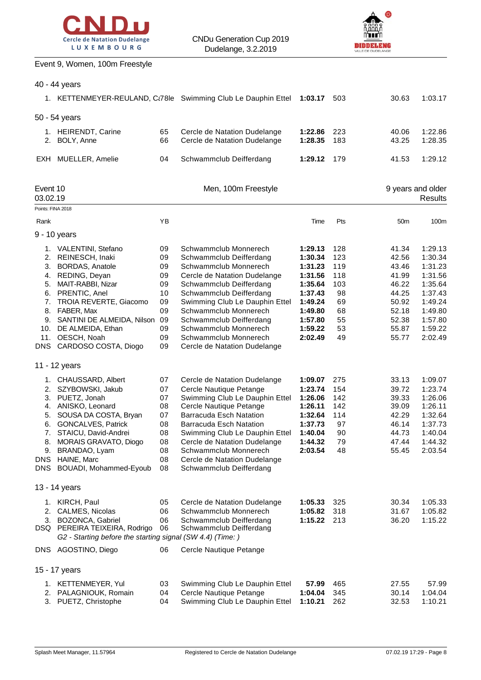



## Event 9, Women, 100m Freestyle

| 40 - 44 years |  |
|---------------|--|
|---------------|--|

|                      |                                                                                             |          | 1. KETTENMEYER-REULAND, Ct78le Swimming Club Le Dauphin Ettel | 1:03.17            | 503      | 30.63           | 1:03.17                             |
|----------------------|---------------------------------------------------------------------------------------------|----------|---------------------------------------------------------------|--------------------|----------|-----------------|-------------------------------------|
|                      | 50 - 54 years                                                                               |          |                                                               |                    |          |                 |                                     |
|                      | 1. HEIRENDT, Carine                                                                         | 65       | Cercle de Natation Dudelange                                  | 1:22.86            | 223      | 40.06           | 1:22.86                             |
| 2.                   | BOLY, Anne                                                                                  | 66       | Cercle de Natation Dudelange                                  | 1:28.35            | 183      | 43.25           | 1:28.35                             |
|                      | EXH MUELLER, Amelie                                                                         | 04       | Schwammclub Deifferdang                                       | 1:29.12            | 179      | 41.53           | 1:29.12                             |
| Event 10<br>03.02.19 |                                                                                             |          | Men, 100m Freestyle                                           |                    |          |                 | 9 years and older<br><b>Results</b> |
| Points: FINA 2018    |                                                                                             |          |                                                               |                    |          |                 |                                     |
| Rank                 |                                                                                             | YB       |                                                               | Time               | Pts      | 50 <sub>m</sub> | 100m                                |
|                      | 9 - 10 years                                                                                |          |                                                               |                    |          |                 |                                     |
|                      | 1. VALENTINI, Stefano                                                                       | 09       | Schwammclub Monnerech                                         | 1:29.13            | 128      | 41.34           | 1:29.13                             |
| 2.                   | REINESCH, Inaki                                                                             | 09       | Schwammclub Deifferdang                                       | 1:30.34            | 123      | 42.56           | 1:30.34                             |
| 3.                   | <b>BORDAS, Anatole</b>                                                                      | 09       | Schwammclub Monnerech                                         | 1:31.23            | 119      | 43.46           | 1:31.23                             |
| 4.                   | REDING, Deyan                                                                               | 09       | Cercle de Natation Dudelange                                  | 1:31.56            | 118      | 41.99           | 1:31.56                             |
|                      | 5. MAIT-RABBI, Nizar                                                                        | 09       | Schwammclub Deifferdang                                       | 1:35.64            | 103      | 46.22           | 1:35.64                             |
| 6.                   | PRENTIC, Anel                                                                               | 10       | Schwammclub Deifferdang                                       | 1:37.43            | 98       | 44.25           | 1:37.43                             |
|                      | 7. TROIA REVERTE, Giacomo                                                                   | 09       | Swimming Club Le Dauphin Ettel                                | 1:49.24            | 69       | 50.92           | 1:49.24                             |
| 8.                   | FABER, Max                                                                                  | 09       | Schwammclub Monnerech                                         | 1:49.80            | 68       | 52.18           | 1:49.80                             |
| 9.<br>10.            | SANTINI DE ALMEIDA, Nilson<br>DE ALMEIDA, Ethan                                             | 09<br>09 | Schwammclub Deifferdang<br>Schwammclub Monnerech              | 1:57.80<br>1:59.22 | 55<br>53 | 52.38<br>55.87  | 1:57.80<br>1:59.22                  |
| 11.                  | OESCH, Noah                                                                                 | 09       | Schwammclub Monnerech                                         | 2:02.49            | 49       | 55.77           | 2:02.49                             |
| DNS                  | CARDOSO COSTA, Diogo                                                                        | 09       | Cercle de Natation Dudelange                                  |                    |          |                 |                                     |
|                      | 11 - 12 years                                                                               |          |                                                               |                    |          |                 |                                     |
|                      | 1. CHAUSSARD, Albert                                                                        | 07       | Cercle de Natation Dudelange                                  | 1:09.07            | 275      | 33.13           | 1:09.07                             |
| 2.                   | SZYBOWSKI, Jakub                                                                            | 07       | Cercle Nautique Petange                                       | 1:23.74            | 154      | 39.72           | 1:23.74                             |
| 3.                   | PUETZ, Jonah                                                                                | 07       | Swimming Club Le Dauphin Ettel                                | 1:26.06            | 142      | 39.33           | 1:26.06                             |
| 4.                   | ANISKO, Leonard                                                                             | 08       | Cercle Nautique Petange                                       | 1:26.11            | 142      | 39.09           | 1:26.11                             |
| 5.                   | SOUSA DA COSTA, Bryan                                                                       | 07       | <b>Barracuda Esch Natation</b>                                | 1:32.64            | 114      | 42.29           | 1:32.64                             |
|                      | 6. GONCALVES, Patrick                                                                       | 08       | Barracuda Esch Natation                                       | 1:37.73            | 97       | 46.14           | 1:37.73                             |
| 7.                   | STAICU, David-Andrei                                                                        | 08       | Swimming Club Le Dauphin Ettel                                | 1:40.04            | 90       | 44.73           | 1:40.04                             |
| 8.                   | MORAIS GRAVATO, Diogo                                                                       | 08       | Cercle de Natation Dudelange                                  | 1:44.32            | 79       | 47.44           | 1:44.32                             |
| 9.                   | BRANDAO, Lyam                                                                               | 08       | Schwammclub Monnerech                                         | 2:03.54            | 48       | 55.45           | 2:03.54                             |
|                      | DNS HAINE, Marc                                                                             | 08       | Cercle de Natation Dudelange                                  |                    |          |                 |                                     |
|                      | DNS BOUADI, Mohammed-Eyoub                                                                  | 08       | Schwammclub Deifferdang                                       |                    |          |                 |                                     |
|                      | 13 - 14 years                                                                               |          |                                                               |                    |          |                 |                                     |
|                      | 1. KIRCH, Paul                                                                              | 05       | Cercle de Natation Dudelange                                  | 1:05.33            | 325      | 30.34           | 1:05.33                             |
|                      | 2. CALMES, Nicolas                                                                          | 06       | Schwammclub Monnerech                                         | 1:05.82            | 318      | 31.67           | 1:05.82                             |
|                      | 3. BOZONCA, Gabriel                                                                         | 06       | Schwammclub Deifferdang                                       | 1:15.22            | 213      | 36.20           | 1:15.22                             |
|                      | DSQ PEREIRA TEIXEIRA, Rodrigo<br>G2 - Starting before the starting signal (SW 4.4) (Time: ) | 06       | Schwammclub Deifferdang                                       |                    |          |                 |                                     |
|                      | DNS AGOSTINO, Diego                                                                         | 06       | Cercle Nautique Petange                                       |                    |          |                 |                                     |
|                      | 15 - 17 years                                                                               |          |                                                               |                    |          |                 |                                     |
|                      | 1. KETTENMEYER, Yul                                                                         | 03       | Swimming Club Le Dauphin Ettel                                | 57.99              | 465      | 27.55           | 57.99                               |
|                      | 2. PALAGNIOUK, Romain                                                                       | 04       | Cercle Nautique Petange                                       | 1:04.04            | 345      | 30.14           | 1:04.04                             |
|                      | 3. PUETZ, Christophe                                                                        | 04       | Swimming Club Le Dauphin Ettel                                | 1:10.21            | 262      | 32.53           | 1:10.21                             |
|                      |                                                                                             |          |                                                               |                    |          |                 |                                     |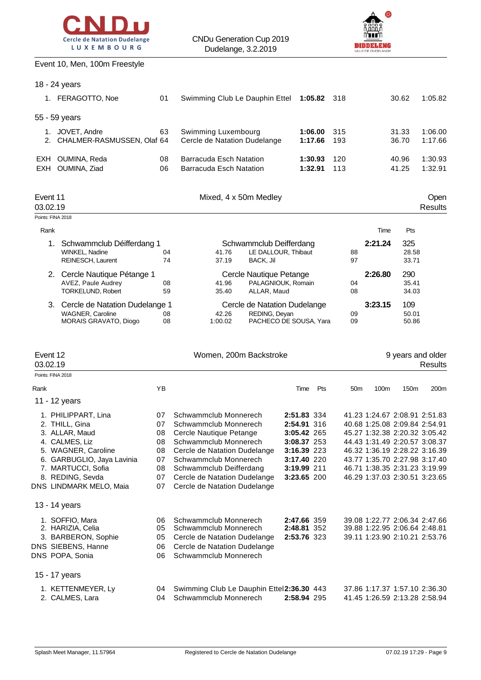



#### Event 10, Men, 100m Freestyle

|                      | 18 - 24 years                                                                  |                |                                                                                             |                                           |                    |                 |         |                                                                                                 |                        |
|----------------------|--------------------------------------------------------------------------------|----------------|---------------------------------------------------------------------------------------------|-------------------------------------------|--------------------|-----------------|---------|-------------------------------------------------------------------------------------------------|------------------------|
|                      | 1. FERAGOTTO, Noe                                                              | 01             | Swimming Club Le Dauphin Ettel                                                              |                                           | 1:05.82            | 318             |         | 30.62                                                                                           | 1:05.82                |
|                      | 55 - 59 years                                                                  |                |                                                                                             |                                           |                    |                 |         |                                                                                                 |                        |
|                      | 1. JOVET, Andre<br>2. CHALMER-RASMUSSEN, Olaf 64                               | 63             | Swimming Luxembourg<br>Cercle de Natation Dudelange                                         |                                           | 1:06.00<br>1:17.66 | 315<br>193      |         | 31.33<br>36.70                                                                                  | 1:06.00<br>1:17.66     |
|                      | EXH OUMINA, Reda                                                               | 08             | <b>Barracuda Esch Natation</b>                                                              |                                           | 1:30.93            | 120             |         | 40.96                                                                                           | 1:30.93                |
|                      | EXH OUMINA, Ziad                                                               | 06             | <b>Barracuda Esch Natation</b>                                                              |                                           | 1:32.91            | 113             |         | 41.25                                                                                           | 1:32.91                |
| Event 11<br>03.02.19 |                                                                                |                | Mixed, 4 x 50m Medley                                                                       |                                           |                    |                 |         |                                                                                                 | Open<br><b>Results</b> |
|                      | Points: FINA 2018                                                              |                |                                                                                             |                                           |                    |                 |         |                                                                                                 |                        |
| Rank                 |                                                                                |                |                                                                                             |                                           |                    |                 | Time    | Pts                                                                                             |                        |
|                      | 1. Schwammclub Déifferdang 1<br>WINKEL, Nadine<br>REINESCH, Laurent            | 04<br>74       | Schwammclub Deifferdang<br>LE DALLOUR, Thibaut<br>41.76<br>37.19<br>BACK, Jil               |                                           |                    | 88<br>97        | 2:21.24 | 325<br>28.58<br>33.71                                                                           |                        |
|                      | 2. Cercle Nautique Pétange 1<br>AVEZ, Paule Audrey<br>TORKELUND, Robert        | 08<br>59       | Cercle Nautique Petange<br>41.96<br>PALAGNIOUK, Romain<br>ALLAR, Maud<br>35.40              |                                           |                    | 04<br>08        | 2:26.80 | 290<br>35.41<br>34.03                                                                           |                        |
|                      | 3. Cercle de Natation Dudelange 1<br>WAGNER, Caroline<br>MORAIS GRAVATO, Diogo | 08<br>08       | Cercle de Natation Dudelange<br>42.26<br>REDING, Deyan<br>1:00.02<br>PACHECO DE SOUSA, Yara |                                           |                    | 09<br>09        | 3:23.15 | 109<br>50.01<br>50.86                                                                           |                        |
|                      |                                                                                |                |                                                                                             |                                           |                    |                 |         |                                                                                                 |                        |
| Event 12<br>03.02.19 |                                                                                |                | Women, 200m Backstroke                                                                      |                                           |                    |                 |         | 9 years and older                                                                               | <b>Results</b>         |
|                      | Points: FINA 2018                                                              |                |                                                                                             |                                           |                    |                 |         |                                                                                                 |                        |
| Rank                 |                                                                                | YB             |                                                                                             | Time                                      | Pts                | 50 <sub>m</sub> | 100m    | 150m                                                                                            | 200m                   |
|                      | 11 - 12 years<br>1. PHILIPPART, Lina                                           | 07             | Schwammclub Monnerech                                                                       | 2:51.83 334                               |                    |                 |         | 41.23 1:24.67 2:08.91 2:51.83                                                                   |                        |
|                      | 2. THILL, Gina                                                                 | 07<br>08       | Schwammclub Monnerech                                                                       | 2:54.91 316<br>3:05.42 265                |                    |                 |         | 40.68 1:25.08 2:09.84 2:54.91                                                                   |                        |
|                      | 3. ALLAR, Maud<br>4. CALMES, Liz                                               | 08             | Cercle Nautique Petange<br>Schwammclub Monnerech                                            | 3:08.37 253                               |                    |                 |         | 45.27 1:32.38 2:20.32 3:05.42<br>44.43 1:31.49 2:20.57 3:08.37                                  |                        |
|                      | 5. WAGNER, Caroline                                                            | 08             | Cercle de Natation Dudelange                                                                | 3:16.39 223                               |                    |                 |         | 46.32 1:36.19 2:28.22 3:16.39                                                                   |                        |
|                      | 6. GARBUGLIO, Jaya Lavinia<br>7. MARTUCCI, Sofia                               | 07<br>08       | Schwammclub Monnerech<br>Schwammclub Deifferdang                                            | 3:17.40 220<br>3:19.99 211                |                    |                 |         | 43.77 1:35.70 2:27.98 3:17.40<br>46.71 1:38.35 2:31.23 3:19.99                                  |                        |
|                      | 8. REDING, Sevda<br>DNS LINDMARK MELO, Maia                                    | 07<br>07       | Cercle de Natation Dudelange<br>Cercle de Natation Dudelange                                | 3:23.65 200                               |                    |                 |         | 46.29 1:37.03 2:30.51 3:23.65                                                                   |                        |
|                      | 13 - 14 years                                                                  |                |                                                                                             |                                           |                    |                 |         |                                                                                                 |                        |
|                      | 1. SOFFIO, Mara<br>2. HARIZIA, Celia                                           | 06<br>05<br>05 | Schwammclub Monnerech<br>Schwammclub Monnerech                                              | 2:47.66 359<br>2:48.81 352<br>2:53.76 323 |                    |                 |         | 39.08 1:22.77 2:06.34 2:47.66<br>39.88 1:22.95 2:06.64 2:48.81<br>39.11 1:23.90 2:10.21 2:53.76 |                        |
|                      | 3. BARBERON, Sophie<br>DNS SIEBENS, Hanne<br>DNS POPA, Sonia                   | 06<br>06       | Cercle de Natation Dudelange<br>Cercle de Natation Dudelange<br>Schwammclub Monnerech       |                                           |                    |                 |         |                                                                                                 |                        |
|                      | 15 - 17 years                                                                  |                |                                                                                             |                                           |                    |                 |         |                                                                                                 |                        |
|                      | 1. KETTENMEYER, Ly<br>2. CALMES, Lara                                          | 04<br>04       | Swimming Club Le Dauphin Ettel2:36.30 443<br>Schwammclub Monnerech                          | 2:58.94 295                               |                    |                 |         | 37.86 1:17.37 1:57.10 2:36.30<br>41.45 1:26.59 2:13.28 2:58.94                                  |                        |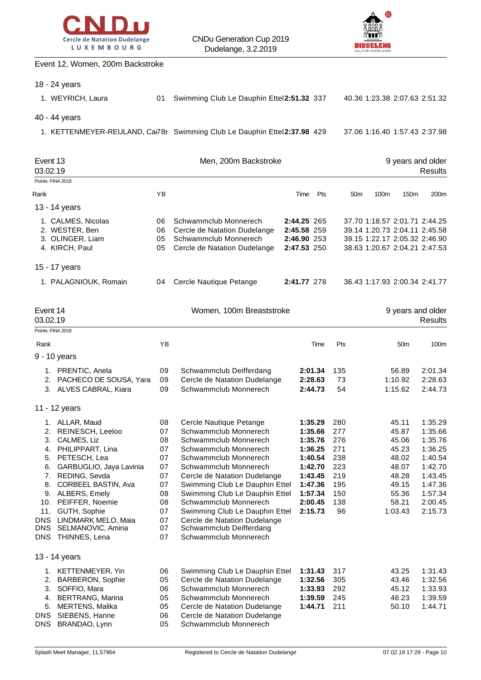



#### Event 12, Women, 200m Backstroke

|                                                        | 18 - 24 years                                                                                                                                                                                                                                                                                     |                                                                                  |                                                                                                                                                                                                                                                                                                                                                                                                         |                                                          |                                                                                                                       |                                                                          |                                                                                                                                  |                                                                                                   |                                                                                                                       |
|--------------------------------------------------------|---------------------------------------------------------------------------------------------------------------------------------------------------------------------------------------------------------------------------------------------------------------------------------------------------|----------------------------------------------------------------------------------|---------------------------------------------------------------------------------------------------------------------------------------------------------------------------------------------------------------------------------------------------------------------------------------------------------------------------------------------------------------------------------------------------------|----------------------------------------------------------|-----------------------------------------------------------------------------------------------------------------------|--------------------------------------------------------------------------|----------------------------------------------------------------------------------------------------------------------------------|---------------------------------------------------------------------------------------------------|-----------------------------------------------------------------------------------------------------------------------|
|                                                        | 1. WEYRICH, Laura                                                                                                                                                                                                                                                                                 | 01                                                                               | Swimming Club Le Dauphin Ettel2:51.32 337                                                                                                                                                                                                                                                                                                                                                               |                                                          |                                                                                                                       |                                                                          | 40.36 1:23.38 2:07.63 2:51.32                                                                                                    |                                                                                                   |                                                                                                                       |
|                                                        | 40 - 44 years                                                                                                                                                                                                                                                                                     |                                                                                  |                                                                                                                                                                                                                                                                                                                                                                                                         |                                                          |                                                                                                                       |                                                                          |                                                                                                                                  |                                                                                                   |                                                                                                                       |
|                                                        |                                                                                                                                                                                                                                                                                                   |                                                                                  | 1. KETTENMEYER-REULAND, Car78> Swimming Club Le Dauphin Ettel2:37.98 429                                                                                                                                                                                                                                                                                                                                |                                                          |                                                                                                                       |                                                                          | 37.06 1:16.40 1:57.43 2:37.98                                                                                                    |                                                                                                   |                                                                                                                       |
| Event 13<br>03.02.19                                   |                                                                                                                                                                                                                                                                                                   |                                                                                  | Men, 200m Backstroke                                                                                                                                                                                                                                                                                                                                                                                    |                                                          |                                                                                                                       |                                                                          |                                                                                                                                  |                                                                                                   | 9 years and older<br><b>Results</b>                                                                                   |
| Points: FINA 2018                                      |                                                                                                                                                                                                                                                                                                   |                                                                                  |                                                                                                                                                                                                                                                                                                                                                                                                         |                                                          |                                                                                                                       |                                                                          |                                                                                                                                  |                                                                                                   |                                                                                                                       |
| Rank                                                   |                                                                                                                                                                                                                                                                                                   | YB                                                                               |                                                                                                                                                                                                                                                                                                                                                                                                         | Time                                                     | Pts                                                                                                                   | 50 <sub>m</sub>                                                          | 100m                                                                                                                             | 150m                                                                                              | 200m                                                                                                                  |
|                                                        | 13 - 14 years                                                                                                                                                                                                                                                                                     |                                                                                  |                                                                                                                                                                                                                                                                                                                                                                                                         |                                                          |                                                                                                                       |                                                                          |                                                                                                                                  |                                                                                                   |                                                                                                                       |
|                                                        | 1. CALMES, Nicolas<br>2. WESTER, Ben<br>3. OLINGER, Liam<br>4. KIRCH, Paul                                                                                                                                                                                                                        | 06<br>06<br>05<br>05                                                             | Schwammclub Monnerech<br>Cercle de Natation Dudelange<br>Schwammclub Monnerech<br>Cercle de Natation Dudelange                                                                                                                                                                                                                                                                                          | 2:44.25 265<br>2:45.58 259<br>2:46.90 253<br>2:47.53 250 |                                                                                                                       |                                                                          | 37.70 1:18.57 2:01.71 2:44.25<br>39.14 1:20.73 2:04.11 2:45.58<br>39.15 1:22.17 2:05.32 2:46.90<br>38.63 1:20.67 2:04.21 2:47.53 |                                                                                                   |                                                                                                                       |
|                                                        | 15 - 17 years                                                                                                                                                                                                                                                                                     |                                                                                  |                                                                                                                                                                                                                                                                                                                                                                                                         |                                                          |                                                                                                                       |                                                                          |                                                                                                                                  |                                                                                                   |                                                                                                                       |
|                                                        | 1. PALAGNIOUK, Romain                                                                                                                                                                                                                                                                             | 04                                                                               | Cercle Nautique Petange                                                                                                                                                                                                                                                                                                                                                                                 | 2:41.77 278                                              |                                                                                                                       |                                                                          | 36.43 1:17.93 2:00.34 2:41.77                                                                                                    |                                                                                                   |                                                                                                                       |
| Event 14<br>03.02.19<br>Points: FINA 2018              |                                                                                                                                                                                                                                                                                                   |                                                                                  | Women, 100m Breaststroke                                                                                                                                                                                                                                                                                                                                                                                |                                                          |                                                                                                                       |                                                                          |                                                                                                                                  |                                                                                                   | 9 years and older<br><b>Results</b>                                                                                   |
| Rank                                                   |                                                                                                                                                                                                                                                                                                   | ΥB                                                                               |                                                                                                                                                                                                                                                                                                                                                                                                         |                                                          | Time                                                                                                                  | Pts                                                                      |                                                                                                                                  | 50 <sub>m</sub>                                                                                   | 100m                                                                                                                  |
|                                                        | 9 - 10 years                                                                                                                                                                                                                                                                                      |                                                                                  |                                                                                                                                                                                                                                                                                                                                                                                                         |                                                          |                                                                                                                       |                                                                          |                                                                                                                                  |                                                                                                   |                                                                                                                       |
|                                                        | 1. PRENTIC, Anela<br>2. PACHECO DE SOUSA, Yara<br>3. ALVES CABRAL, Kiara                                                                                                                                                                                                                          | 09<br>09<br>09                                                                   | Schwammclub Deifferdang<br>Cercle de Natation Dudelange<br>Schwammclub Monnerech                                                                                                                                                                                                                                                                                                                        |                                                          | 2:01.34<br>2:28.63<br>2:44.73                                                                                         | 135<br>73<br>54                                                          |                                                                                                                                  | 56.89<br>1:10.92<br>1:15.62                                                                       | 2:01.34<br>2:28.63<br>2:44.73                                                                                         |
|                                                        | 11 - 12 years                                                                                                                                                                                                                                                                                     |                                                                                  |                                                                                                                                                                                                                                                                                                                                                                                                         |                                                          |                                                                                                                       |                                                                          |                                                                                                                                  |                                                                                                   |                                                                                                                       |
| 5.<br>6.<br>7.<br>8.<br>DNS<br>DNS                     | 1. ALLAR, Maud<br>2. REINESCH, Leeloo<br>3. CALMES, Liz<br>4. PHILIPPART, Lina<br>PETESCH, Lea<br>GARBUGLIO, Jaya Lavinia<br>REDING, Sevda<br>CORBEEL BASTIN, Ava<br>9. ALBERS, Emely<br>10. PEIFFER, Noemie<br>11. GUTH, Sophie<br>LINDMARK MELO, Maia<br>SELMANOVIC, Amina<br>DNS THINNES, Lena | 08<br>07<br>08<br>07<br>07<br>07<br>07<br>07<br>08<br>08<br>07<br>07<br>07<br>07 | Cercle Nautique Petange<br>Schwammclub Monnerech<br>Schwammclub Monnerech<br>Schwammclub Monnerech<br>Schwammclub Monnerech<br>Schwammclub Monnerech<br>Cercle de Natation Dudelange<br>Swimming Club Le Dauphin Ettel<br>Swimming Club Le Dauphin Ettel<br>Schwammclub Monnerech<br>Swimming Club Le Dauphin Ettel<br>Cercle de Natation Dudelange<br>Schwammclub Deifferdang<br>Schwammclub Monnerech |                                                          | 1:35.29<br>1:35.66<br>1:35.76<br>1:36.25<br>1:40.54<br>1:42.70<br>1:43.45<br>1:47.36<br>1:57.34<br>2:00.45<br>2:15.73 | 280<br>277<br>276<br>271<br>238<br>223<br>219<br>195<br>150<br>138<br>96 |                                                                                                                                  | 45.11<br>45.87<br>45.06<br>45.23<br>48.02<br>48.07<br>48.28<br>49.15<br>55.36<br>58.21<br>1:03.43 | 1:35.29<br>1:35.66<br>1:35.76<br>1:36.25<br>1:40.54<br>1:42.70<br>1:43.45<br>1:47.36<br>1:57.34<br>2:00.45<br>2:15.73 |
|                                                        | 13 - 14 years                                                                                                                                                                                                                                                                                     |                                                                                  |                                                                                                                                                                                                                                                                                                                                                                                                         |                                                          |                                                                                                                       |                                                                          |                                                                                                                                  |                                                                                                   |                                                                                                                       |
| 1.<br>2.<br>3.<br>4.<br>5.<br><b>DNS</b><br><b>DNS</b> | KETTENMEYER, Yin<br><b>BARBERON, Sophie</b><br>SOFFIO, Mara<br><b>BERTRANG, Marina</b><br><b>MERTENS, Malika</b><br>SIEBENS, Hanne<br>BRANDAO, Lynn                                                                                                                                               | 06<br>05<br>06<br>05<br>05<br>06<br>05                                           | Swimming Club Le Dauphin Ettel<br>Cercle de Natation Dudelange<br>Schwammclub Monnerech<br>Schwammclub Monnerech<br>Cercle de Natation Dudelange<br>Cercle de Natation Dudelange<br>Schwammclub Monnerech                                                                                                                                                                                               |                                                          | 1:31.43<br>1:32.56<br>1:33.93<br>1:39.59<br>1:44.71                                                                   | 317<br>305<br>292<br>245<br>211                                          |                                                                                                                                  | 43.25<br>43.46<br>45.12<br>46.23<br>50.10                                                         | 1:31.43<br>1:32.56<br>1:33.93<br>1:39.59<br>1:44.71                                                                   |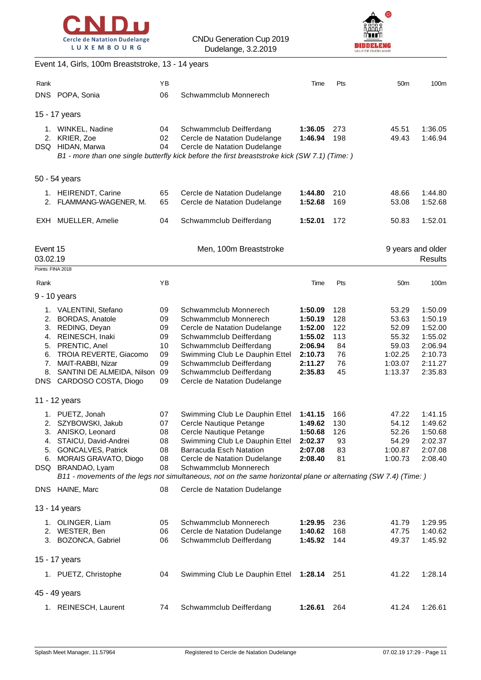



### Event 14, Girls, 100m Breaststroke, 13 - 14 years

| Rank              |                                                   | YB       |                                                                                                                | Time               | Pts        | 50 <sub>m</sub>    | 100m               |
|-------------------|---------------------------------------------------|----------|----------------------------------------------------------------------------------------------------------------|--------------------|------------|--------------------|--------------------|
|                   | DNS POPA, Sonia                                   | 06       | Schwammclub Monnerech                                                                                          |                    |            |                    |                    |
|                   |                                                   |          |                                                                                                                |                    |            |                    |                    |
|                   | 15 - 17 years                                     |          |                                                                                                                |                    |            |                    |                    |
|                   | 1. WINKEL, Nadine                                 | 04       | Schwammclub Deifferdang                                                                                        | 1:36.05            | 273        | 45.51              | 1:36.05            |
|                   | 2. KRIER, Zoe<br>DSQ HIDAN, Marwa                 | 02<br>04 | Cercle de Natation Dudelange<br>Cercle de Natation Dudelange                                                   | 1:46.94            | 198        | 49.43              | 1:46.94            |
|                   |                                                   |          | B1 - more than one single butterfly kick before the first breaststroke kick (SW 7.1) (Time: )                  |                    |            |                    |                    |
|                   |                                                   |          |                                                                                                                |                    |            |                    |                    |
|                   | 50 - 54 years                                     |          |                                                                                                                |                    |            |                    |                    |
|                   | 1. HEIRENDT, Carine                               | 65       | Cercle de Natation Dudelange                                                                                   | 1:44.80            | 210        | 48.66              | 1:44.80            |
|                   | 2. FLAMMANG-WAGENER, M.                           | 65       | Cercle de Natation Dudelange                                                                                   | 1:52.68            | 169        | 53.08              | 1:52.68            |
|                   | EXH MUELLER, Amelie                               | 04       | Schwammclub Deifferdang                                                                                        | 1:52.01            | 172        | 50.83              | 1:52.01            |
| Event 15          |                                                   |          | Men, 100m Breaststroke                                                                                         |                    |            |                    | 9 years and older  |
| 03.02.19          |                                                   |          |                                                                                                                |                    |            |                    | <b>Results</b>     |
| Points: FINA 2018 |                                                   |          |                                                                                                                |                    |            |                    |                    |
| Rank              |                                                   | ΥB       |                                                                                                                | Time               | Pts        | 50 <sub>m</sub>    | 100m               |
|                   | 9 - 10 years                                      |          |                                                                                                                |                    |            |                    |                    |
|                   | 1. VALENTINI, Stefano                             | 09       | Schwammclub Monnerech                                                                                          | 1:50.09            | 128        | 53.29              | 1:50.09            |
|                   | 2. BORDAS, Anatole                                | 09       | Schwammclub Monnerech                                                                                          | 1:50.19            | 128        | 53.63              | 1:50.19            |
|                   | 3. REDING, Deyan<br>4. REINESCH, Inaki            | 09<br>09 | Cercle de Natation Dudelange                                                                                   | 1:52.00<br>1:55.02 | 122<br>113 | 52.09<br>55.32     | 1:52.00<br>1:55.02 |
|                   | 5. PRENTIC, Anel                                  | 10       | Schwammclub Deifferdang<br>Schwammclub Deifferdang                                                             | 2:06.94            | 84         | 59.03              | 2:06.94            |
|                   | 6. TROIA REVERTE, Giacomo                         | 09       | Swimming Club Le Dauphin Ettel                                                                                 | 2:10.73            | 76         | 1:02.25            | 2:10.73            |
|                   | 7. MAIT-RABBI, Nizar                              | 09       | Schwammclub Deifferdang                                                                                        | 2:11.27            | 76         | 1:03.07            | 2:11.27            |
|                   | 8. SANTINI DE ALMEIDA, Nilson                     | 09       | Schwammclub Deifferdang                                                                                        | 2:35.83            | 45         | 1:13.37            | 2:35.83            |
|                   | DNS CARDOSO COSTA, Diogo                          | 09       | Cercle de Natation Dudelange                                                                                   |                    |            |                    |                    |
|                   | 11 - 12 years                                     |          |                                                                                                                |                    |            |                    |                    |
|                   | 1. PUETZ, Jonah                                   | 07       | Swimming Club Le Dauphin Ettel                                                                                 | 1:41.15            | 166        | 47.22              | 1:41.15            |
|                   | 2. SZYBOWSKI, Jakub                               | 07       | Cercle Nautique Petange                                                                                        | 1:49.62            | 130        | 54.12              | 1:49.62            |
|                   | 3. ANISKO, Leonard                                | 08       | Cercle Nautique Petange                                                                                        | 1:50.68 126        |            | 52.26              | 1:50.68            |
|                   | 4. STAICU, David-Andrei                           | 08       | Swimming Club Le Dauphin Ettel                                                                                 | 2:02.37            | 93         | 54.29              | 2:02.37            |
|                   | 5. GONCALVES, Patrick<br>6. MORAIS GRAVATO, Diogo | 08<br>08 | Barracuda Esch Natation<br>Cercle de Natation Dudelange                                                        | 2:07.08<br>2:08.40 | 83<br>81   | 1:00.87<br>1:00.73 | 2:07.08<br>2:08.40 |
|                   | DSQ BRANDAO, Lyam                                 | 08       | Schwammclub Monnerech                                                                                          |                    |            |                    |                    |
|                   |                                                   |          | B11 - movements of the legs not simultaneous, not on the same horizontal plane or alternating (SW 7.4) (Time:) |                    |            |                    |                    |
|                   | DNS HAINE, Marc                                   | 08       | Cercle de Natation Dudelange                                                                                   |                    |            |                    |                    |
|                   | 13 - 14 years                                     |          |                                                                                                                |                    |            |                    |                    |
|                   | 1. OLINGER, Liam                                  | 05       | Schwammclub Monnerech                                                                                          | 1:29.95            | 236        | 41.79              | 1:29.95            |
|                   | 2. WESTER, Ben                                    | 06       | Cercle de Natation Dudelange                                                                                   | 1:40.62            | 168        | 47.75              | 1:40.62            |
|                   | 3. BOZONCA, Gabriel                               | 06       | Schwammclub Deifferdang                                                                                        | 1:45.92            | 144        | 49.37              | 1:45.92            |
|                   | 15 - 17 years                                     |          |                                                                                                                |                    |            |                    |                    |
|                   | 1. PUETZ, Christophe                              | 04       | Swimming Club Le Dauphin Ettel                                                                                 | <b>1:28.14</b> 251 |            | 41.22              | 1:28.14            |
|                   | 45 - 49 years                                     |          |                                                                                                                |                    |            |                    |                    |
|                   | 1. REINESCH, Laurent                              | 74       | Schwammclub Deifferdang                                                                                        | 1:26.61            | 264        | 41.24              | 1:26.61            |
|                   |                                                   |          |                                                                                                                |                    |            |                    |                    |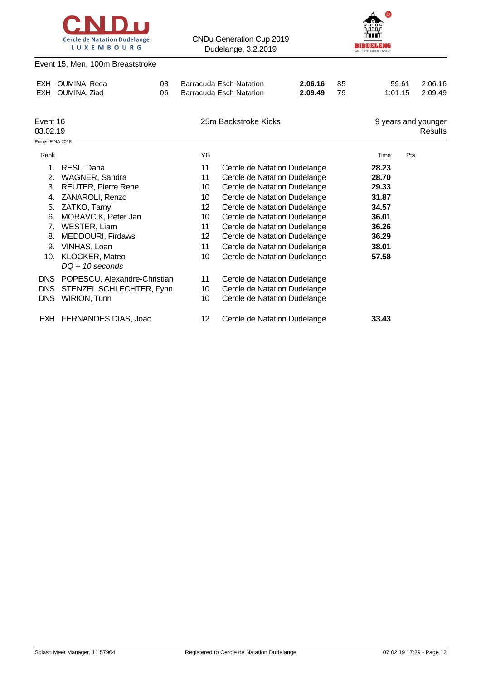



#### Event 15, Men, 100m Breaststroke

| <b>EXH</b><br><b>EXH</b> | OUMINA, Reda<br>08<br>OUMINA, Ziad<br>06 |  | 2:06.16<br><b>Barracuda Esch Natation</b><br>85<br><b>Barracuda Esch Natation</b><br>2:09.49<br>79 |                              |  | 59.61<br>1:01.15 | 2:06.16<br>2:09.49 |                                |
|--------------------------|------------------------------------------|--|----------------------------------------------------------------------------------------------------|------------------------------|--|------------------|--------------------|--------------------------------|
| Event 16<br>03.02.19     |                                          |  |                                                                                                    | 25m Backstroke Kicks         |  |                  |                    | 9 years and younger<br>Results |
| Points: FINA 2018        |                                          |  |                                                                                                    |                              |  |                  |                    |                                |
| Rank                     |                                          |  | YB                                                                                                 |                              |  | Time             | Pts                |                                |
| 1.                       | RESL, Dana                               |  | 11                                                                                                 | Cercle de Natation Dudelange |  | 28.23            |                    |                                |
| 2.                       | WAGNER, Sandra                           |  | 11                                                                                                 | Cercle de Natation Dudelange |  | 28.70            |                    |                                |
| 3.                       | <b>REUTER, Pierre Rene</b>               |  | 10                                                                                                 | Cercle de Natation Dudelange |  | 29.33            |                    |                                |
| 4.                       | ZANAROLI, Renzo                          |  | 10                                                                                                 | Cercle de Natation Dudelange |  | 31.87            |                    |                                |
| 5.                       | ZATKO, Tamy                              |  | 12                                                                                                 | Cercle de Natation Dudelange |  | 34.57            |                    |                                |
| 6.                       | MORAVCIK, Peter Jan                      |  | 10                                                                                                 | Cercle de Natation Dudelange |  | 36.01            |                    |                                |
| 7.                       | WESTER, Liam                             |  | 11                                                                                                 | Cercle de Natation Dudelange |  | 36.26            |                    |                                |
| 8.                       | MEDDOURI, Firdaws                        |  | $12 \overline{ }$                                                                                  | Cercle de Natation Dudelange |  | 36.29            |                    |                                |
| 9.                       | VINHAS, Loan                             |  | 11                                                                                                 | Cercle de Natation Dudelange |  | 38.01            |                    |                                |
| 10.                      | KLOCKER, Mateo<br>$DQ + 10$ seconds      |  | 10                                                                                                 | Cercle de Natation Dudelange |  | 57.58            |                    |                                |
| <b>DNS</b>               | POPESCU, Alexandre-Christian             |  | 11                                                                                                 | Cercle de Natation Dudelange |  |                  |                    |                                |
| <b>DNS</b>               | STENZEL SCHLECHTER, Fynn                 |  | 10                                                                                                 | Cercle de Natation Dudelange |  |                  |                    |                                |
| <b>DNS</b>               | <b>WIRION, Tunn</b>                      |  | 10                                                                                                 | Cercle de Natation Dudelange |  |                  |                    |                                |
|                          | EXH FERNANDES DIAS, Joao                 |  | 12                                                                                                 | Cercle de Natation Dudelange |  | 33.43            |                    |                                |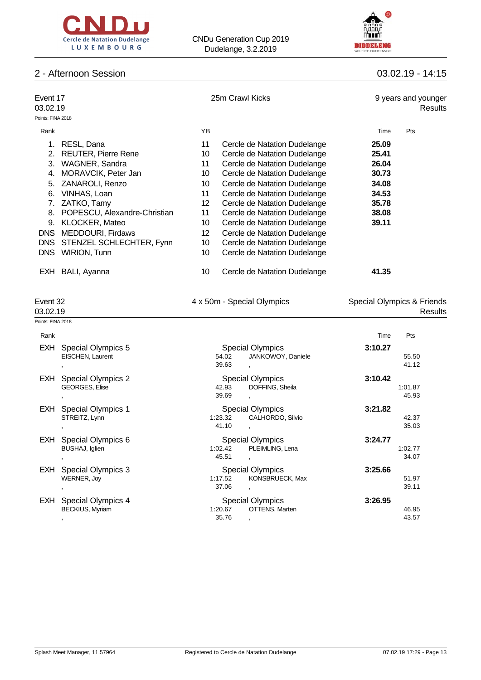



## 2 - Afternoon Session 03.02.19 - 14:15

|                   | Event 17<br>03.02.19         |                 | 25m Crawl Kicks              | 9 years and younger<br>Results |     |  |
|-------------------|------------------------------|-----------------|------------------------------|--------------------------------|-----|--|
| Points: FINA 2018 |                              |                 |                              |                                |     |  |
| Rank              |                              | YB.             |                              | Time                           | Pts |  |
|                   | RESL, Dana                   | 11              | Cercle de Natation Dudelange | 25.09                          |     |  |
| 2.                | <b>REUTER, Pierre Rene</b>   | 10              | Cercle de Natation Dudelange | 25.41                          |     |  |
| 3.                | WAGNER, Sandra               | 11              | Cercle de Natation Dudelange | 26.04                          |     |  |
| 4.                | MORAVCIK, Peter Jan          | 10              | Cercle de Natation Dudelange | 30.73                          |     |  |
| 5.                | ZANAROLI, Renzo              | 10              | Cercle de Natation Dudelange | 34.08                          |     |  |
| 6.                | VINHAS, Loan                 | 11              | Cercle de Natation Dudelange | 34.53                          |     |  |
| 7.                | ZATKO, Tamy                  | 12 <sup>°</sup> | Cercle de Natation Dudelange | 35.78                          |     |  |
| 8.                | POPESCU, Alexandre-Christian | 11              | Cercle de Natation Dudelange | 38.08                          |     |  |
| 9.                | KLOCKER, Mateo               | 10              | Cercle de Natation Dudelange | 39.11                          |     |  |
| <b>DNS</b>        | MEDDOURI, Firdaws            | 12              | Cercle de Natation Dudelange |                                |     |  |
| DNS               | STENZEL SCHLECHTER, Fynn     | 10              | Cercle de Natation Dudelange |                                |     |  |
| <b>DNS</b>        | <b>WIRION, Tunn</b>          | 10              | Cercle de Natation Dudelange |                                |     |  |
| EXH.              | BALI, Ayanna                 | 10              | Cercle de Natation Dudelange | 41.35                          |     |  |

| Event 32 |  |
|----------|--|
|          |  |

| Event 32<br>03.02.19          | 4 x 50m - Special Olympics | Special Olympics & Friends<br><b>Results</b> |  |  |  |
|-------------------------------|----------------------------|----------------------------------------------|--|--|--|
| Points: FINA 2018             |                            |                                              |  |  |  |
| Rank                          |                            | Pts<br>Time                                  |  |  |  |
| EXH Special Olympics 5        | <b>Special Olympics</b>    | 3:10.27                                      |  |  |  |
| EISCHEN, Laurent              | JANKOWOY, Daniele<br>54.02 | 55.50                                        |  |  |  |
|                               | 39.63                      | 41.12                                        |  |  |  |
| <b>EXH</b> Special Olympics 2 | <b>Special Olympics</b>    | 3:10.42                                      |  |  |  |

| ∟∧⊔        | OPCUAL ORIGINAL 2         |         | Opecial Olympics        | J. IV.44 |         |
|------------|---------------------------|---------|-------------------------|----------|---------|
|            | <b>GEORGES, Elise</b>     | 42.93   | DOFFING, Sheila         |          | 1:01.87 |
|            |                           | 39.69   |                         |          | 45.93   |
| EXH.       | <b>Special Olympics 1</b> |         | <b>Special Olympics</b> | 3:21.82  |         |
|            | STREITZ, Lynn             | 1:23.32 | CALHORDO, Silvio        |          | 42.37   |
|            |                           | 41.10   |                         |          | 35.03   |
| <b>EXH</b> | Special Olympics 6        |         | <b>Special Olympics</b> | 3:24.77  |         |
|            | BUSHAJ, Iglien            | 1:02.42 | PLEIMLING, Lena         |          | 1:02.77 |
|            |                           | 45.51   |                         |          | 34.07   |
| <b>EXH</b> | Special Olympics 3        |         | <b>Special Olympics</b> | 3:25.66  |         |
|            | WERNER, Joy               | 1:17.52 | KONSBRUECK, Max         |          | 51.97   |
|            |                           | 37.06   |                         |          | 39.11   |
| <b>EXH</b> | Special Olympics 4        |         | <b>Special Olympics</b> | 3:26.95  |         |
|            | <b>BECKIUS, Myriam</b>    | 1:20.67 | OTTENS, Marten          |          | 46.95   |
|            |                           | 35.76   |                         |          | 43.57   |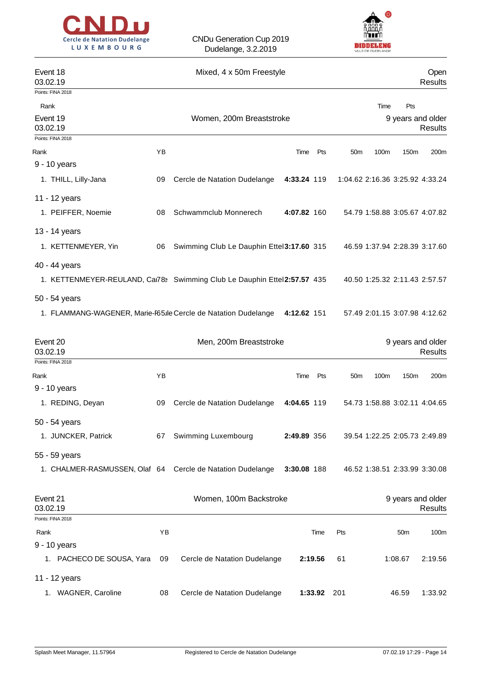



| Event 18<br>03.02.19                                                     |    | Mixed, 4 x 50m Freestyle                  |             |                                 |      |                 | Open<br><b>Results</b>              |
|--------------------------------------------------------------------------|----|-------------------------------------------|-------------|---------------------------------|------|-----------------|-------------------------------------|
| Points: FINA 2018                                                        |    |                                           |             |                                 |      |                 |                                     |
| Rank<br>Event 19<br>03.02.19                                             |    | Women, 200m Breaststroke                  |             |                                 | Time | Pts             | 9 years and older<br>Results        |
| Points: FINA 2018                                                        |    |                                           |             |                                 |      |                 |                                     |
| Rank                                                                     | YB |                                           | Pts<br>Time | 50 <sub>m</sub>                 | 100m | 150m            | 200m                                |
| 9 - 10 years                                                             |    |                                           |             |                                 |      |                 |                                     |
| 1. THILL, Lilly-Jana                                                     | 09 | Cercle de Natation Dudelange              | 4:33.24 119 | 1:04.62 2:16.36 3:25.92 4:33.24 |      |                 |                                     |
| 11 - 12 years                                                            |    |                                           |             |                                 |      |                 |                                     |
| 1. PEIFFER, Noemie                                                       | 08 | Schwammclub Monnerech                     | 4:07.82 160 |                                 |      |                 | 54.79 1:58.88 3:05.67 4:07.82       |
| 13 - 14 years                                                            |    |                                           |             |                                 |      |                 |                                     |
| 1. KETTENMEYER, Yin                                                      | 06 | Swimming Club Le Dauphin Ettel3:17.60 315 |             |                                 |      |                 | 46.59 1:37.94 2:28.39 3:17.60       |
| 40 - 44 years                                                            |    |                                           |             |                                 |      |                 |                                     |
| 1. KETTENMEYER-REULAND, Car783 Swimming Club Le Dauphin Ettel2:57.57 435 |    |                                           |             |                                 |      |                 | 40.50 1:25.32 2:11.43 2:57.57       |
| 50 - 54 years                                                            |    |                                           |             |                                 |      |                 |                                     |
| 1. FLAMMANG-WAGENER, Marie-F65 le Cercle de Natation Dudelange           |    |                                           | 4:12.62 151 |                                 |      |                 | 57.49 2:01.15 3:07.98 4:12.62       |
| Event 20<br>03.02.19                                                     |    | Men, 200m Breaststroke                    |             |                                 |      |                 | 9 years and older<br><b>Results</b> |
| Points: FINA 2018                                                        |    |                                           |             |                                 |      |                 |                                     |
| Rank                                                                     | YB |                                           | Pts<br>Time | 50 <sub>m</sub>                 | 100m | 150m            | 200m                                |
| 9 - 10 years                                                             |    |                                           |             |                                 |      |                 |                                     |
| 1. REDING, Deyan                                                         | 09 | Cercle de Natation Dudelange              | 4:04.65 119 |                                 |      |                 | 54.73 1:58.88 3:02.11 4:04.65       |
| 50 - 54 years                                                            |    |                                           |             |                                 |      |                 |                                     |
| 1. JUNCKER, Patrick                                                      | 67 | Swimming Luxembourg                       | 2:49.89 356 |                                 |      |                 | 39.54 1:22.25 2:05.73 2:49.89       |
| 55 - 59 years                                                            |    |                                           |             |                                 |      |                 |                                     |
| 1. CHALMER-RASMUSSEN, Olaf 64 Cercle de Natation Dudelange               |    |                                           | 3:30.08 188 |                                 |      |                 | 46.52 1:38.51 2:33.99 3:30.08       |
| Event 21<br>03.02.19                                                     |    | Women, 100m Backstroke                    |             |                                 |      |                 | 9 years and older<br><b>Results</b> |
| Points: FINA 2018                                                        |    |                                           |             |                                 |      |                 |                                     |
| Rank                                                                     | ΥB |                                           | Time        | Pts                             |      | 50 <sub>m</sub> | 100m                                |
| 9 - 10 years                                                             |    |                                           |             |                                 |      |                 |                                     |
| 1. PACHECO DE SOUSA, Yara                                                | 09 | Cercle de Natation Dudelange              | 2:19.56     | 61                              |      | 1:08.67         | 2:19.56                             |
| 11 - 12 years                                                            |    |                                           |             |                                 |      |                 |                                     |
| 1. WAGNER, Caroline                                                      | 08 | Cercle de Natation Dudelange              | 1:33.92 201 |                                 |      | 46.59           | 1:33.92                             |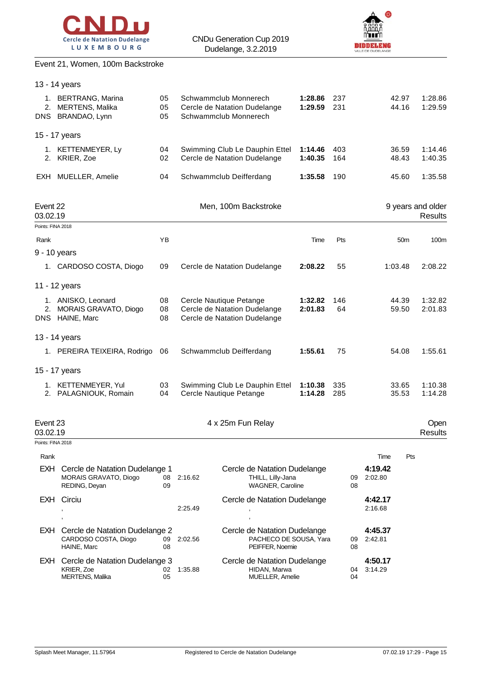



# Event 21, Women, 100m Backstroke

|                                           | 13 - 14 years                                                                |                |         |                                                                                         |                    |            |          |                            |                 |                                     |
|-------------------------------------------|------------------------------------------------------------------------------|----------------|---------|-----------------------------------------------------------------------------------------|--------------------|------------|----------|----------------------------|-----------------|-------------------------------------|
|                                           | 1. BERTRANG, Marina<br>2. MERTENS, Malika<br>DNS BRANDAO, Lynn               | 05<br>05<br>05 |         | Schwammclub Monnerech<br>Cercle de Natation Dudelange<br>Schwammclub Monnerech          | 1:28.86<br>1:29.59 | 237<br>231 |          |                            | 42.97<br>44.16  | 1:28.86<br>1:29.59                  |
|                                           | 15 - 17 years                                                                |                |         |                                                                                         |                    |            |          |                            |                 |                                     |
|                                           | 1. KETTENMEYER, Ly<br>2. KRIER, Zoe                                          | 04<br>02       |         | Swimming Club Le Dauphin Ettel<br>Cercle de Natation Dudelange                          | 1:14.46<br>1:40.35 | 403<br>164 |          |                            | 36.59<br>48.43  | 1:14.46<br>1:40.35                  |
| EXH                                       | MUELLER, Amelie                                                              | 04             |         | Schwammclub Deifferdang                                                                 | 1:35.58            | 190        |          |                            | 45.60           | 1:35.58                             |
| Event 22<br>03.02.19<br>Points: FINA 2018 |                                                                              |                |         | Men, 100m Backstroke                                                                    |                    |            |          |                            |                 | 9 years and older<br><b>Results</b> |
| Rank                                      |                                                                              | ΥB             |         |                                                                                         | Time               | Pts        |          |                            | 50 <sub>m</sub> | 100m                                |
|                                           | 9 - 10 years                                                                 |                |         |                                                                                         |                    |            |          |                            |                 |                                     |
|                                           | 1. CARDOSO COSTA, Diogo                                                      | 09             |         | Cercle de Natation Dudelange                                                            | 2:08.22            | 55         |          |                            | 1:03.48         | 2:08.22                             |
|                                           | 11 - 12 years                                                                |                |         |                                                                                         |                    |            |          |                            |                 |                                     |
|                                           | 1. ANISKO, Leonard<br>2. MORAIS GRAVATO, Diogo<br>DNS HAINE, Marc            | 08<br>08<br>08 |         | Cercle Nautique Petange<br>Cercle de Natation Dudelange<br>Cercle de Natation Dudelange | 1:32.82<br>2:01.83 | 146<br>64  |          |                            | 44.39<br>59.50  | 1:32.82<br>2:01.83                  |
|                                           | 13 - 14 years                                                                |                |         |                                                                                         |                    |            |          |                            |                 |                                     |
|                                           | 1. PEREIRA TEIXEIRA, Rodrigo                                                 | 06             |         | Schwammclub Deifferdang                                                                 | 1:55.61            | 75         |          |                            | 54.08           | 1:55.61                             |
|                                           | 15 - 17 years                                                                |                |         |                                                                                         |                    |            |          |                            |                 |                                     |
|                                           | 1. KETTENMEYER, Yul<br>2. PALAGNIOUK, Romain                                 | 03<br>04       |         | Swimming Club Le Dauphin Ettel<br>Cercle Nautique Petange                               | 1:10.38<br>1:14.28 | 335<br>285 |          |                            | 33.65<br>35.53  | 1:10.38<br>1:14.28                  |
| Event 23<br>03.02.19                      |                                                                              |                |         | 4 x 25m Fun Relay                                                                       |                    |            |          |                            |                 | Open<br><b>Results</b>              |
| Points: FINA 2018                         |                                                                              |                |         |                                                                                         |                    |            |          |                            |                 |                                     |
| Rank                                      | EXH Cercle de Natation Dudelange 1<br>MORAIS GRAVATO, Diogo<br>REDING, Deyan | 08<br>09       | 2:16.62 | Cercle de Natation Dudelange<br>THILL, Lilly-Jana<br>WAGNER, Caroline                   |                    |            | 09<br>08 | Time<br>4:19.42<br>2:02.80 | Pts             |                                     |
|                                           | <b>EXH</b> Circiu                                                            |                |         | Cercle de Natation Dudelange                                                            |                    |            |          | 4:42.17                    |                 |                                     |
|                                           |                                                                              |                | 2:25.49 | $\overline{\phantom{a}}$                                                                |                    |            |          | 2:16.68                    |                 |                                     |
|                                           | EXH Cercle de Natation Dudelange 2<br>CARDOSO COSTA, Diogo<br>HAINE, Marc    | 09<br>08       | 2:02.56 | Cercle de Natation Dudelange<br>PACHECO DE SOUSA, Yara<br>PEIFFER, Noemie               |                    |            | 09<br>08 | 4:45.37<br>2:42.81         |                 |                                     |
|                                           | EXH Cercle de Natation Dudelange 3<br>KRIER, Zoe<br><b>MERTENS, Malika</b>   | 02<br>05       | 1:35.88 | Cercle de Natation Dudelange<br>HIDAN, Marwa<br>MUELLER, Amelie                         |                    |            | 04<br>04 | 4:50.17<br>3:14.29         |                 |                                     |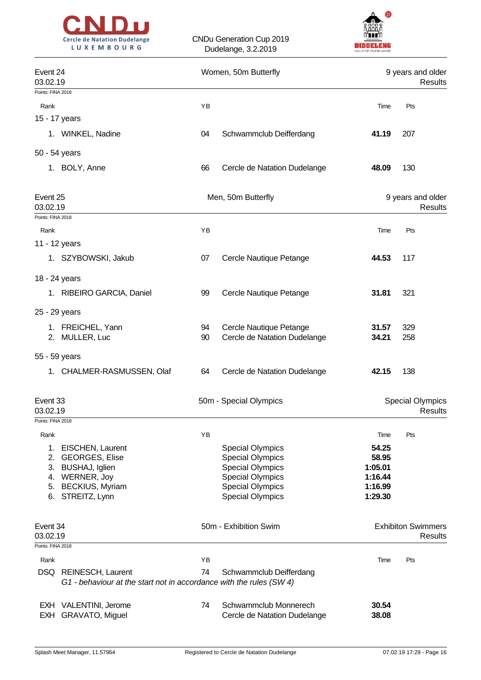



|                      | Event 24<br>03.02.19                                                                         |    | Women, 50m Butterfly                                  | 9 years and older<br>Results |                                           |  |
|----------------------|----------------------------------------------------------------------------------------------|----|-------------------------------------------------------|------------------------------|-------------------------------------------|--|
| Points: FINA 2018    |                                                                                              |    |                                                       |                              |                                           |  |
| Rank                 |                                                                                              | YB |                                                       | Time                         | Pts                                       |  |
|                      | 15 - 17 years                                                                                |    |                                                       |                              |                                           |  |
|                      | 1. WINKEL, Nadine                                                                            | 04 | Schwammclub Deifferdang                               | 41.19                        | 207                                       |  |
|                      | 50 - 54 years                                                                                |    |                                                       |                              |                                           |  |
|                      | 1. BOLY, Anne                                                                                | 66 | Cercle de Natation Dudelange                          | 48.09                        | 130                                       |  |
| Event 25<br>03.02.19 |                                                                                              |    | Men, 50m Butterfly                                    |                              | 9 years and older<br><b>Results</b>       |  |
| Points: FINA 2018    |                                                                                              |    |                                                       |                              |                                           |  |
| Rank                 |                                                                                              | YB |                                                       | Time                         | Pts                                       |  |
|                      | 11 - 12 years                                                                                |    |                                                       |                              |                                           |  |
|                      | 1. SZYBOWSKI, Jakub                                                                          | 07 | Cercle Nautique Petange                               | 44.53                        | 117                                       |  |
|                      | 18 - 24 years                                                                                |    |                                                       |                              |                                           |  |
|                      | 1. RIBEIRO GARCIA, Daniel                                                                    | 99 | Cercle Nautique Petange                               | 31.81                        | 321                                       |  |
|                      | 25 - 29 years                                                                                |    |                                                       |                              |                                           |  |
|                      | 1. FREICHEL, Yann                                                                            | 94 | Cercle Nautique Petange                               | 31.57                        | 329                                       |  |
|                      | 2. MULLER, Luc                                                                               | 90 | Cercle de Natation Dudelange                          | 34.21                        | 258                                       |  |
|                      | 55 - 59 years                                                                                |    |                                                       |                              |                                           |  |
|                      | 1. CHALMER-RASMUSSEN, Olaf                                                                   | 64 | Cercle de Natation Dudelange                          | 42.15                        | 138                                       |  |
| Event 33<br>03.02.19 |                                                                                              |    | 50m - Special Olympics                                |                              | <b>Special Olympics</b><br><b>Results</b> |  |
| Points: FINA 2018    |                                                                                              |    |                                                       |                              |                                           |  |
| Rank                 |                                                                                              | YB |                                                       | Time                         | Pts                                       |  |
| 1.                   | EISCHEN, Laurent                                                                             |    | <b>Special Olympics</b>                               | 54.25<br>58.95               |                                           |  |
| 2.                   | <b>GEORGES, Elise</b><br>3. BUSHAJ, Iglien                                                   |    | <b>Special Olympics</b><br><b>Special Olympics</b>    | 1:05.01                      |                                           |  |
|                      | 4. WERNER, Joy                                                                               |    | <b>Special Olympics</b>                               | 1:16.44                      |                                           |  |
|                      | 5. BECKIUS, Myriam                                                                           |    | <b>Special Olympics</b>                               | 1:16.99                      |                                           |  |
|                      | 6. STREITZ, Lynn                                                                             |    | <b>Special Olympics</b>                               | 1:29.30                      |                                           |  |
| Event 34<br>03.02.19 |                                                                                              |    | 50m - Exhibition Swim                                 |                              | <b>Exhibiton Swimmers</b><br>Results      |  |
| Points: FINA 2018    |                                                                                              |    |                                                       |                              |                                           |  |
| Rank                 |                                                                                              | YB |                                                       | Time                         | Pts                                       |  |
|                      | DSQ REINESCH, Laurent<br>G1 - behaviour at the start not in accordance with the rules (SW 4) | 74 | Schwammclub Deifferdang                               |                              |                                           |  |
| EXH                  | EXH VALENTINI, Jerome<br>GRAVATO, Miguel                                                     | 74 | Schwammclub Monnerech<br>Cercle de Natation Dudelange | 30.54<br>38.08               |                                           |  |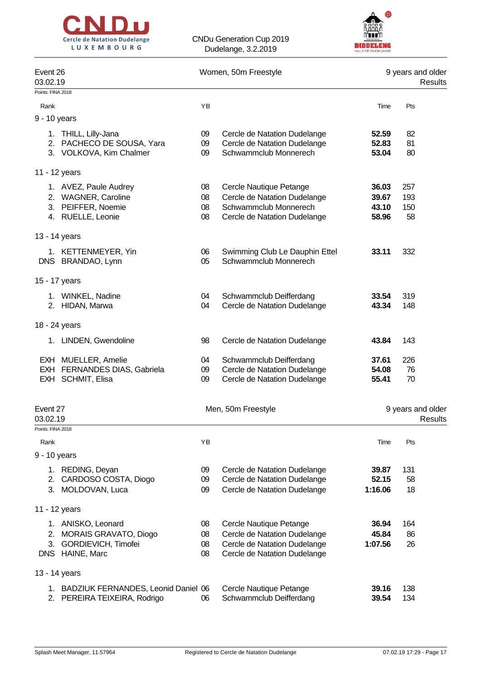



|                      | Event 26<br>03.02.19                                                                    |                      | Women, 50m Freestyle                                                                                                    | 9 years and older<br>Results     |                              |  |
|----------------------|-----------------------------------------------------------------------------------------|----------------------|-------------------------------------------------------------------------------------------------------------------------|----------------------------------|------------------------------|--|
| Points: FINA 2018    |                                                                                         |                      |                                                                                                                         |                                  |                              |  |
| Rank                 |                                                                                         | YB                   |                                                                                                                         | Time                             | Pts                          |  |
| 9 - 10 years         |                                                                                         |                      |                                                                                                                         |                                  |                              |  |
|                      | 1. THILL, Lilly-Jana<br>2. PACHECO DE SOUSA, Yara<br>3. VOLKOVA, Kim Chalmer            | 09<br>09<br>09       | Cercle de Natation Dudelange<br>Cercle de Natation Dudelange<br>Schwammclub Monnerech                                   | 52.59<br>52.83<br>53.04          | 82<br>81<br>80               |  |
|                      | 11 - 12 years                                                                           |                      |                                                                                                                         |                                  |                              |  |
|                      | 1. AVEZ, Paule Audrey<br>2. WAGNER, Caroline<br>3. PEIFFER, Noemie<br>4. RUELLE, Leonie | 08<br>08<br>08<br>08 | Cercle Nautique Petange<br>Cercle de Natation Dudelange<br>Schwammclub Monnerech<br>Cercle de Natation Dudelange        | 36.03<br>39.67<br>43.10<br>58.96 | 257<br>193<br>150<br>58      |  |
|                      | 13 - 14 years                                                                           |                      |                                                                                                                         |                                  |                              |  |
|                      | 1. KETTENMEYER, Yin<br>DNS BRANDAO, Lynn                                                | 06<br>05             | Swimming Club Le Dauphin Ettel<br>Schwammclub Monnerech                                                                 | 33.11                            | 332                          |  |
|                      | 15 - 17 years                                                                           |                      |                                                                                                                         |                                  |                              |  |
|                      | 1. WINKEL, Nadine<br>2. HIDAN, Marwa                                                    | 04<br>04             | Schwammclub Deifferdang<br>Cercle de Natation Dudelange                                                                 | 33.54<br>43.34                   | 319<br>148                   |  |
|                      | 18 - 24 years                                                                           |                      |                                                                                                                         |                                  |                              |  |
|                      | 1. LINDEN, Gwendoline                                                                   | 98                   | Cercle de Natation Dudelange                                                                                            | 43.84                            | 143                          |  |
|                      | EXH MUELLER, Amelie<br>EXH FERNANDES DIAS, Gabriela<br>EXH SCHMIT, Elisa                | 04<br>09<br>09       | Schwammclub Deifferdang<br>Cercle de Natation Dudelange<br>Cercle de Natation Dudelange                                 | 37.61<br>54.08<br>55.41          | 226<br>76<br>70              |  |
| Event 27<br>03.02.19 |                                                                                         |                      | Men, 50m Freestyle                                                                                                      |                                  | 9 years and older<br>Results |  |
| Points: FINA 2018    |                                                                                         |                      |                                                                                                                         |                                  |                              |  |
| Rank                 |                                                                                         | YB                   |                                                                                                                         | Time                             | Pts                          |  |
| 9 - 10 years<br>2.   | 1. REDING, Deyan<br>CARDOSO COSTA, Diogo<br>3. MOLDOVAN, Luca                           | 09<br>09<br>09       | Cercle de Natation Dudelange<br>Cercle de Natation Dudelange<br>Cercle de Natation Dudelange                            | 39.87<br>52.15<br>1:16.06        | 131<br>58<br>18              |  |
|                      | 11 - 12 years                                                                           |                      |                                                                                                                         |                                  |                              |  |
| 2.<br>3.             | 1. ANISKO, Leonard<br>MORAIS GRAVATO, Diogo<br>GORDIEVICH, Timofei<br>DNS HAINE, Marc   | 08<br>08<br>08<br>08 | Cercle Nautique Petange<br>Cercle de Natation Dudelange<br>Cercle de Natation Dudelange<br>Cercle de Natation Dudelange | 36.94<br>45.84<br>1:07.56        | 164<br>86<br>26              |  |
|                      | 13 - 14 years                                                                           |                      |                                                                                                                         |                                  |                              |  |
|                      | 1. BADZIUK FERNANDES, Leonid Daniel 06<br>2. PEREIRA TEIXEIRA, Rodrigo                  | 06                   | Cercle Nautique Petange<br>Schwammclub Deifferdang                                                                      | 39.16<br>39.54                   | 138<br>134                   |  |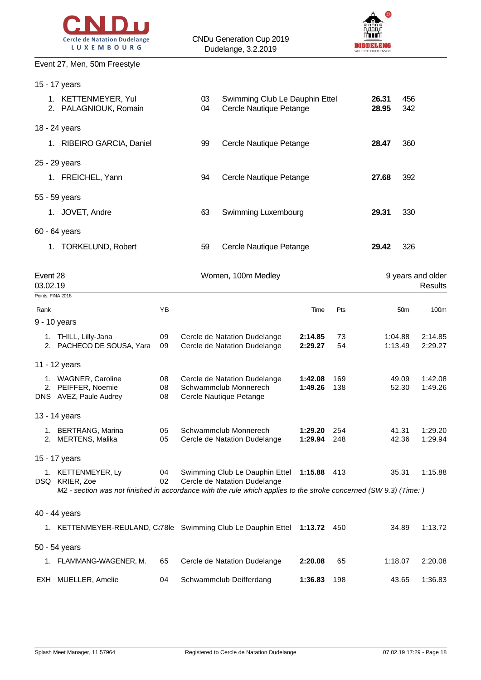



#### Event 27, Men, 50m Freestyle

15 - 17 years

|                      | 1. KETTENMEYER, Yul<br>2. PALAGNIOUK, Romain                                                                                                             |                | Swimming Club Le Dauphin Ettel<br>03<br>Cercle Nautique Petange<br>04 |                                                                                  |                    | 26.31<br>28.95 | 456<br>342 |                    |                              |
|----------------------|----------------------------------------------------------------------------------------------------------------------------------------------------------|----------------|-----------------------------------------------------------------------|----------------------------------------------------------------------------------|--------------------|----------------|------------|--------------------|------------------------------|
|                      | 18 - 24 years                                                                                                                                            |                |                                                                       |                                                                                  |                    |                |            |                    |                              |
|                      | 1. RIBEIRO GARCIA, Daniel                                                                                                                                |                | 99                                                                    | Cercle Nautique Petange                                                          |                    |                | 28.47      | 360                |                              |
|                      | 25 - 29 years                                                                                                                                            |                |                                                                       |                                                                                  |                    |                |            |                    |                              |
|                      | 1. FREICHEL, Yann                                                                                                                                        |                | 94                                                                    | Cercle Nautique Petange                                                          |                    |                | 27.68      | 392                |                              |
|                      | 55 - 59 years                                                                                                                                            |                |                                                                       |                                                                                  |                    |                |            |                    |                              |
|                      | 1. JOVET, Andre                                                                                                                                          |                | 63                                                                    | Swimming Luxembourg                                                              |                    |                | 29.31      | 330                |                              |
|                      | 60 - 64 years                                                                                                                                            |                |                                                                       |                                                                                  |                    |                |            |                    |                              |
|                      | 1. TORKELUND, Robert                                                                                                                                     |                | 59                                                                    | Cercle Nautique Petange                                                          |                    |                | 29.42      | 326                |                              |
| Event 28<br>03.02.19 |                                                                                                                                                          |                |                                                                       | Women, 100m Medley                                                               |                    |                |            |                    | 9 years and older<br>Results |
|                      | Points: FINA 2018                                                                                                                                        |                |                                                                       |                                                                                  |                    |                |            |                    |                              |
| Rank                 | 9 - 10 years                                                                                                                                             | YB             |                                                                       |                                                                                  | Time               | Pts            |            | 50 <sub>m</sub>    | 100 <sub>m</sub>             |
|                      | 1. THILL, Lilly-Jana<br>2. PACHECO DE SOUSA, Yara                                                                                                        | 09<br>09       |                                                                       | Cercle de Natation Dudelange<br>Cercle de Natation Dudelange                     | 2:14.85<br>2:29.27 | 73<br>54       |            | 1:04.88<br>1:13.49 | 2:14.85<br>2:29.27           |
|                      | 11 - 12 years                                                                                                                                            |                |                                                                       |                                                                                  |                    |                |            |                    |                              |
|                      | 1. WAGNER, Caroline<br>2. PEIFFER, Noemie<br>DNS AVEZ, Paule Audrey                                                                                      | 08<br>08<br>08 |                                                                       | Cercle de Natation Dudelange<br>Schwammclub Monnerech<br>Cercle Nautique Petange | 1:42.08<br>1:49.26 | 169<br>138     |            | 49.09<br>52.30     | 1:42.08<br>1:49.26           |
|                      | 13 - 14 years                                                                                                                                            |                |                                                                       |                                                                                  |                    |                |            |                    |                              |
|                      | 1. BERTRANG, Marina<br>2. MERTENS, Malika                                                                                                                | 05<br>05       |                                                                       | Schwammclub Monnerech<br>Cercle de Natation Dudelange                            | 1:29.20<br>1:29.94 | 254<br>248     |            | 41.31<br>42.36     | 1:29.20<br>1:29.94           |
|                      | 15 - 17 years                                                                                                                                            |                |                                                                       |                                                                                  |                    |                |            |                    |                              |
|                      | 1. KETTENMEYER, Ly<br>DSQ KRIER, Zoe<br>M2 - section was not finished in accordance with the rule which applies to the stroke concerned (SW 9.3) (Time:) | 04<br>02       |                                                                       | Swimming Club Le Dauphin Ettel 1:15.88 413<br>Cercle de Natation Dudelange       |                    |                |            | 35.31              | 1:15.88                      |
|                      |                                                                                                                                                          |                |                                                                       |                                                                                  |                    |                |            |                    |                              |
|                      | 40 - 44 years<br>1. KETTENMEYER-REULAND, C:78le Swimming Club Le Dauphin Ettel 1:13.72                                                                   |                |                                                                       |                                                                                  |                    | 450            |            | 34.89              | 1:13.72                      |
|                      | 50 - 54 years                                                                                                                                            |                |                                                                       |                                                                                  |                    |                |            |                    |                              |
|                      | 1. FLAMMANG-WAGENER, M.                                                                                                                                  | 65             |                                                                       | Cercle de Natation Dudelange                                                     | 2:20.08            | 65             |            | 1:18.07            | 2:20.08                      |
|                      | EXH MUELLER, Amelie                                                                                                                                      | 04             |                                                                       | Schwammclub Deifferdang                                                          | 1:36.83            | 198            |            | 43.65              | 1:36.83                      |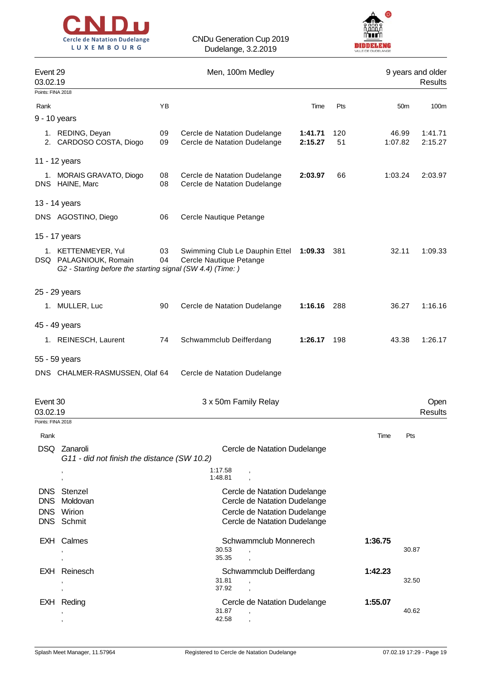



| Event 29<br>03.02.19     |                                                                                                             |          |                         |                         | Men, 100m Medley                                             |                    |           |         |                 | 9 years and older<br>Results |
|--------------------------|-------------------------------------------------------------------------------------------------------------|----------|-------------------------|-------------------------|--------------------------------------------------------------|--------------------|-----------|---------|-----------------|------------------------------|
| Points: FINA 2018        |                                                                                                             |          |                         |                         |                                                              |                    |           |         |                 |                              |
| Rank                     |                                                                                                             | YB       |                         |                         |                                                              | Time               | Pts       |         | 50 <sub>m</sub> | 100m                         |
| 9 - 10 years             |                                                                                                             |          |                         |                         |                                                              |                    |           |         |                 |                              |
|                          | 1. REDING, Deyan<br>2. CARDOSO COSTA, Diogo                                                                 | 09<br>09 |                         |                         | Cercle de Natation Dudelange<br>Cercle de Natation Dudelange | 1:41.71<br>2:15.27 | 120<br>51 | 1:07.82 | 46.99           | 1:41.71<br>2:15.27           |
| 11 - 12 years            |                                                                                                             |          |                         |                         |                                                              |                    |           |         |                 |                              |
|                          | 1. MORAIS GRAVATO, Diogo<br>DNS HAINE, Marc                                                                 | 08<br>08 |                         |                         | Cercle de Natation Dudelange<br>Cercle de Natation Dudelange | 2:03.97            | 66        | 1:03.24 |                 | 2:03.97                      |
| 13 - 14 years            |                                                                                                             |          |                         |                         |                                                              |                    |           |         |                 |                              |
|                          | DNS AGOSTINO, Diego                                                                                         | 06       | Cercle Nautique Petange |                         |                                                              |                    |           |         |                 |                              |
| 15 - 17 years            |                                                                                                             |          |                         |                         |                                                              |                    |           |         |                 |                              |
|                          | 1. KETTENMEYER, Yul<br>DSQ PALAGNIOUK, Romain<br>G2 - Starting before the starting signal (SW 4.4) (Time: ) | 03<br>04 | Cercle Nautique Petange |                         | Swimming Club Le Dauphin Ettel                               | 1:09.33            | 381       |         | 32.11           | 1:09.33                      |
| 25 - 29 years            |                                                                                                             |          |                         |                         |                                                              |                    |           |         |                 |                              |
|                          | 1. MULLER, Luc                                                                                              | 90       |                         |                         | Cercle de Natation Dudelange                                 | 1:16.16            | 288       |         | 36.27           | 1:16.16                      |
| 45 - 49 years            |                                                                                                             |          |                         |                         |                                                              |                    |           |         |                 |                              |
|                          | 1. REINESCH, Laurent                                                                                        | 74       | Schwammclub Deifferdang |                         |                                                              | 1:26.17            | 198       |         | 43.38           | 1:26.17                      |
| 55 - 59 years            |                                                                                                             |          |                         |                         |                                                              |                    |           |         |                 |                              |
|                          | DNS CHALMER-RASMUSSEN, Olaf 64                                                                              |          |                         |                         | Cercle de Natation Dudelange                                 |                    |           |         |                 |                              |
| Event 30<br>03.02.19     |                                                                                                             |          |                         |                         | 3 x 50m Family Relay                                         |                    |           |         |                 | Open<br>Results              |
| Points: FINA 2018        |                                                                                                             |          |                         |                         |                                                              |                    |           |         |                 |                              |
| Rank                     |                                                                                                             |          |                         |                         |                                                              |                    |           | Time    | Pts             |                              |
|                          | DSQ Zanaroli<br>G11 - did not finish the distance (SW 10.2)                                                 |          |                         |                         | Cercle de Natation Dudelange                                 |                    |           |         |                 |                              |
|                          |                                                                                                             |          |                         | 1:17.58<br>1:48.81      |                                                              |                    |           |         |                 |                              |
| DNS.                     | Stenzel                                                                                                     |          |                         |                         | Cercle de Natation Dudelange                                 |                    |           |         |                 |                              |
| <b>DNS</b><br><b>DNS</b> | Moldovan<br>Wirion                                                                                          |          |                         |                         | Cercle de Natation Dudelange<br>Cercle de Natation Dudelange |                    |           |         |                 |                              |
|                          | DNS Schmit                                                                                                  |          |                         |                         | Cercle de Natation Dudelange                                 |                    |           |         |                 |                              |
|                          | EXH Calmes                                                                                                  |          |                         | 30.53<br>35.35          | Schwammclub Monnerech                                        |                    |           | 1:36.75 | 30.87           |                              |
|                          | EXH Reinesch                                                                                                |          |                         | 31.81                   | Schwammclub Deifferdang<br>$\overline{\phantom{a}}$          |                    |           | 1:42.23 | 32.50           |                              |
|                          | EXH Reding                                                                                                  |          |                         | 37.92<br>31.87<br>42.58 | Cercle de Natation Dudelange                                 |                    |           | 1:55.07 | 40.62           |                              |